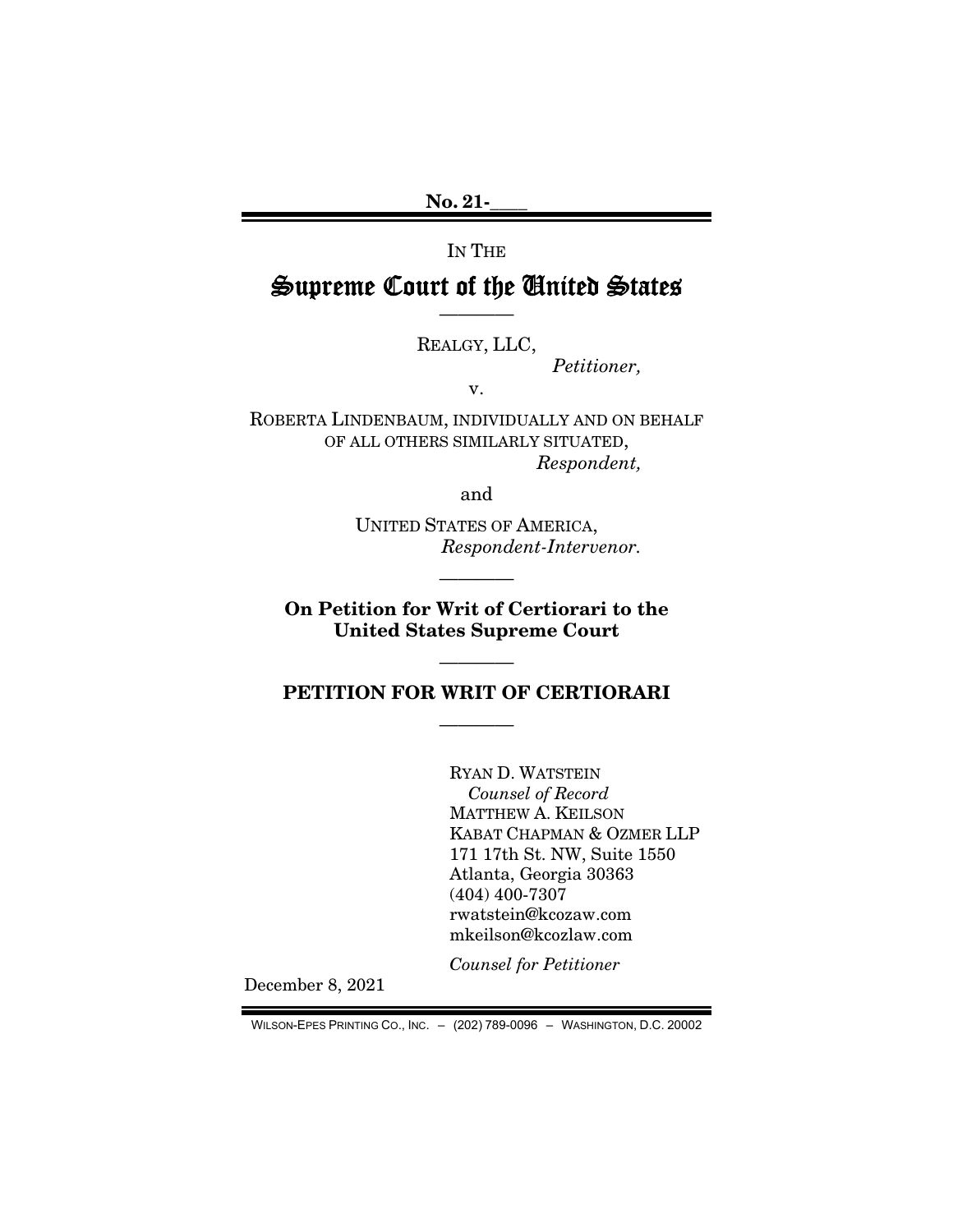No. 21-

IN THE

# Supreme Court of the United States ————

REALGY, LLC,

*Petitioner,* 

v.

ROBERTA LINDENBAUM, INDIVIDUALLY AND ON BEHALF OF ALL OTHERS SIMILARLY SITUATED, *Respondent,* 

and

UNITED STATES OF AMERICA, *Respondent-Intervenor.* 

On Petition for Writ of Certiorari to the United States Supreme Court

————

# PETITION FOR WRIT OF CERTIORARI

————

————

RYAN D. WATSTEIN *Counsel of Record*  MATTHEW A. KEILSON KABAT CHAPMAN & OZMER LLP 171 17th St. NW, Suite 1550 Atlanta, Georgia 30363 (404) 400-7307 rwatstein@kcozaw.com mkeilson@kcozlaw.com

*Counsel for Petitioner* 

December 8, 2021

WILSON-EPES PRINTING CO., INC. – (202) 789-0096 – WASHINGTON, D.C. 20002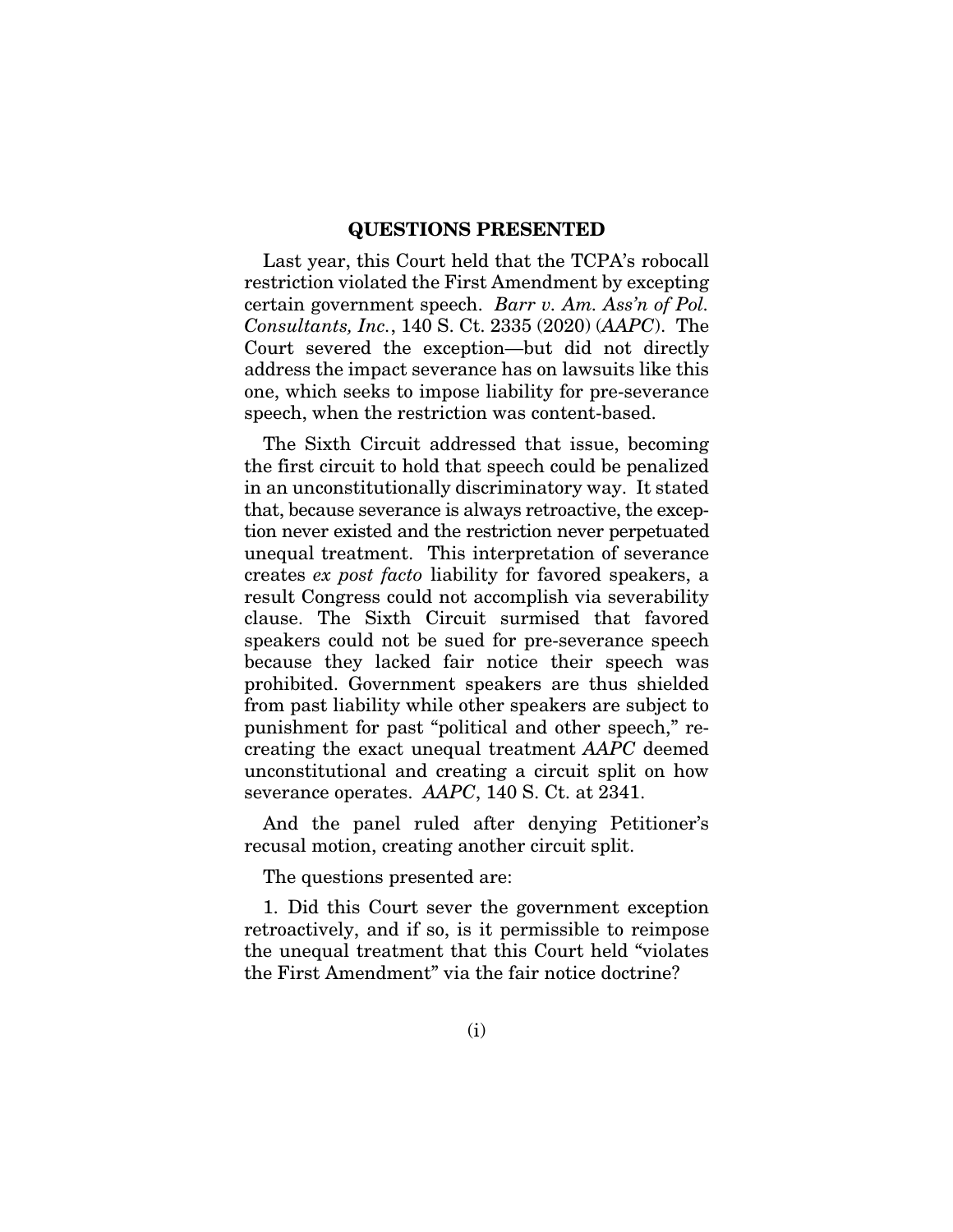#### QUESTIONS PRESENTED

Last year, this Court held that the TCPA's robocall restriction violated the First Amendment by excepting certain government speech. *Barr v. Am. Ass'n of Pol. Consultants, Inc.*, 140 S. Ct. 2335 (2020) (*AAPC*). The Court severed the exception—but did not directly address the impact severance has on lawsuits like this one, which seeks to impose liability for pre-severance speech, when the restriction was content-based.

The Sixth Circuit addressed that issue, becoming the first circuit to hold that speech could be penalized in an unconstitutionally discriminatory way. It stated that, because severance is always retroactive, the exception never existed and the restriction never perpetuated unequal treatment. This interpretation of severance creates *ex post facto* liability for favored speakers, a result Congress could not accomplish via severability clause. The Sixth Circuit surmised that favored speakers could not be sued for pre-severance speech because they lacked fair notice their speech was prohibited. Government speakers are thus shielded from past liability while other speakers are subject to punishment for past "political and other speech," recreating the exact unequal treatment *AAPC* deemed unconstitutional and creating a circuit split on how severance operates. *AAPC*, 140 S. Ct. at 2341.

And the panel ruled after denying Petitioner's recusal motion, creating another circuit split.

The questions presented are:

1. Did this Court sever the government exception retroactively, and if so, is it permissible to reimpose the unequal treatment that this Court held "violates the First Amendment" via the fair notice doctrine?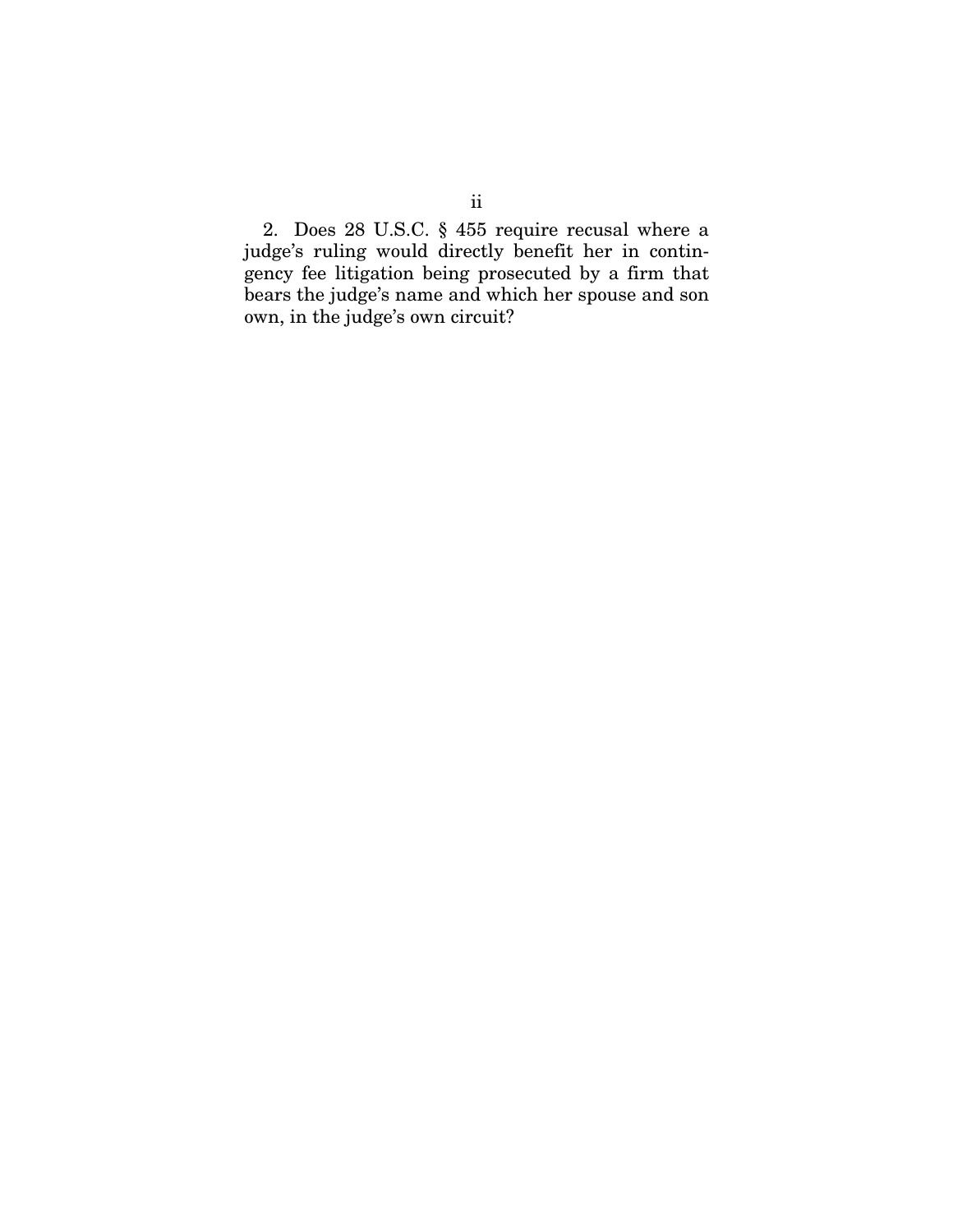2. Does 28 U.S.C. § 455 require recusal where a judge's ruling would directly benefit her in contingency fee litigation being prosecuted by a firm that bears the judge's name and which her spouse and son own, in the judge's own circuit?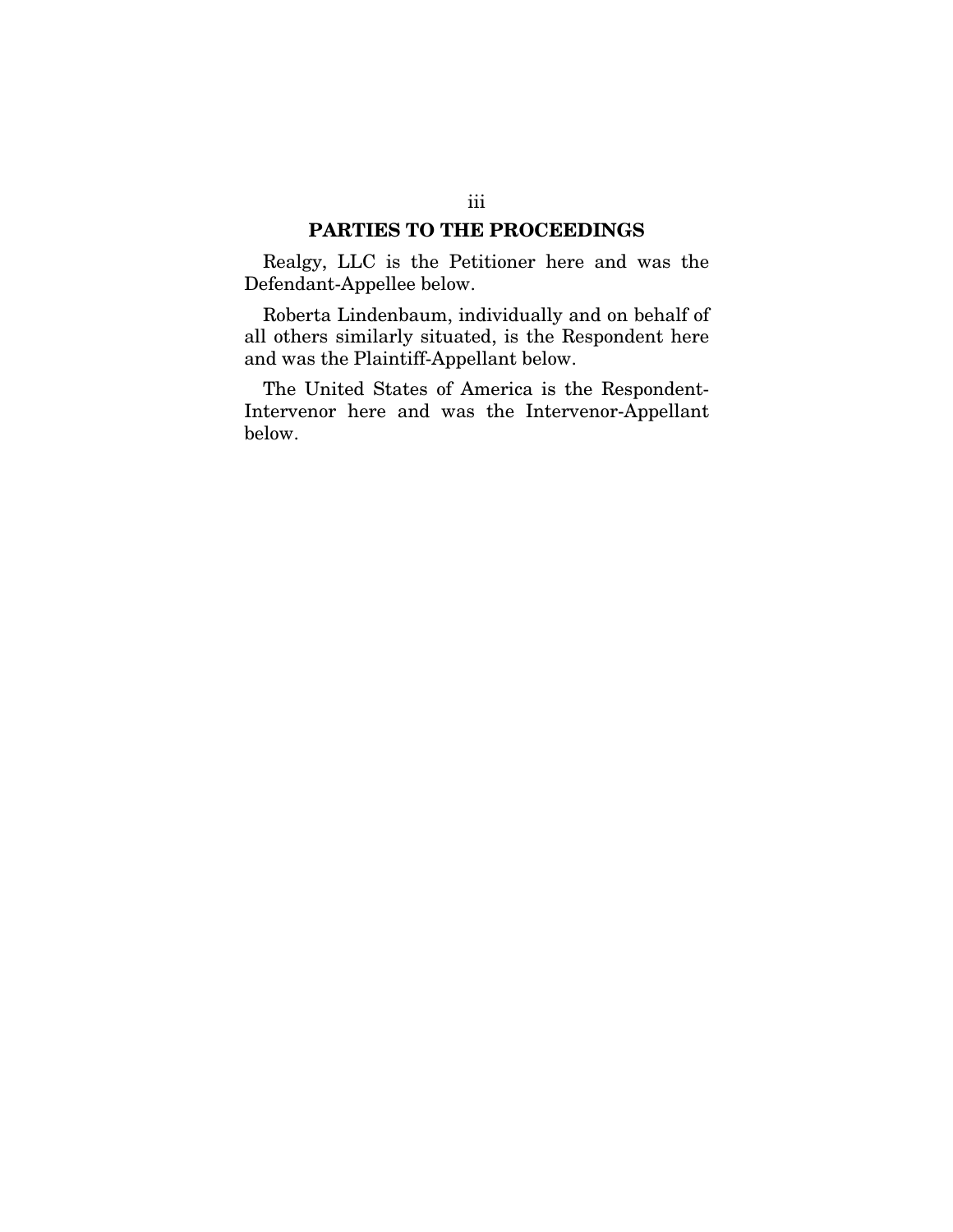## PARTIES TO THE PROCEEDINGS

Realgy, LLC is the Petitioner here and was the Defendant-Appellee below.

Roberta Lindenbaum, individually and on behalf of all others similarly situated, is the Respondent here and was the Plaintiff-Appellant below.

The United States of America is the Respondent-Intervenor here and was the Intervenor-Appellant below.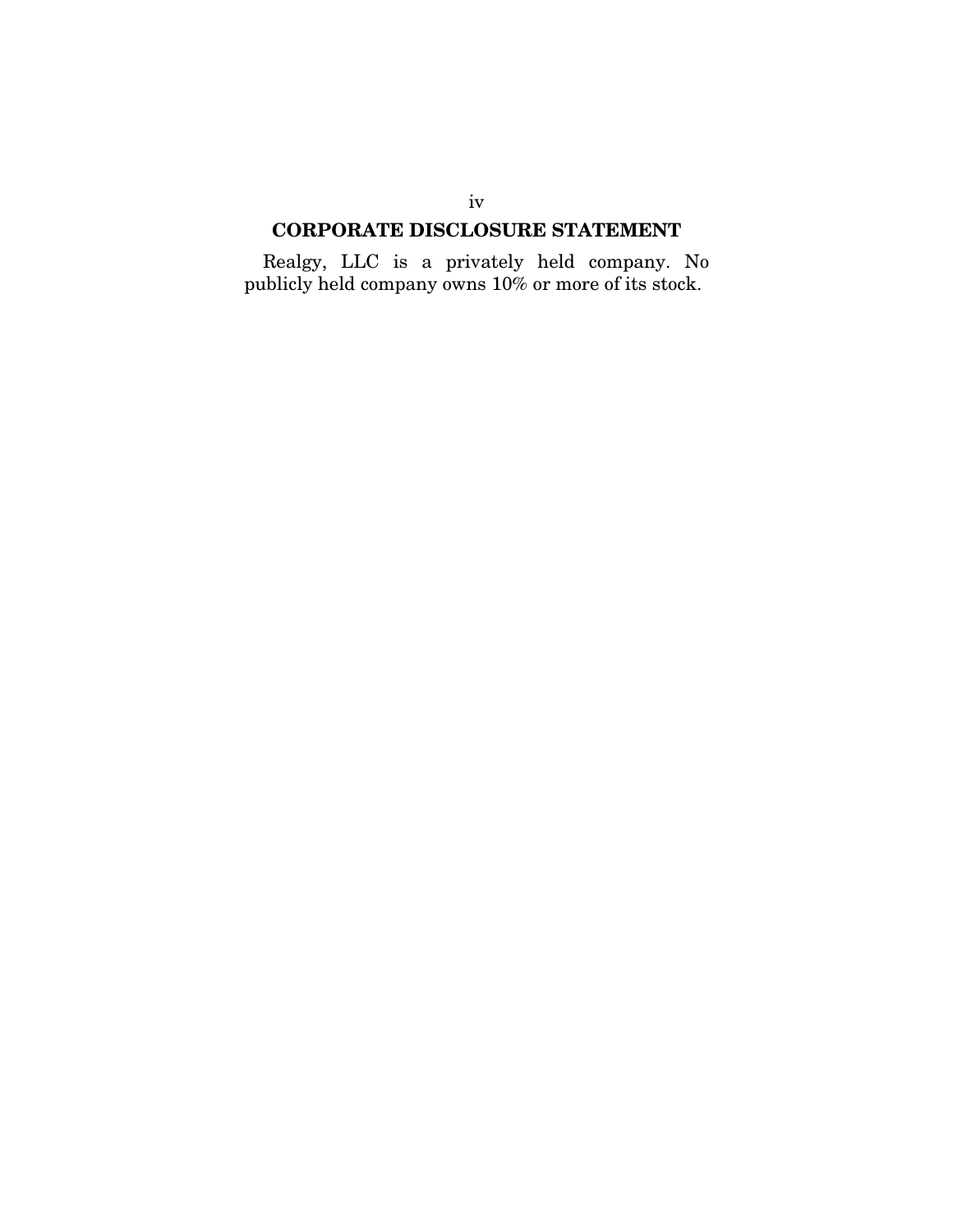# CORPORATE DISCLOSURE STATEMENT

Realgy, LLC is a privately held company. No publicly held company owns 10% or more of its stock.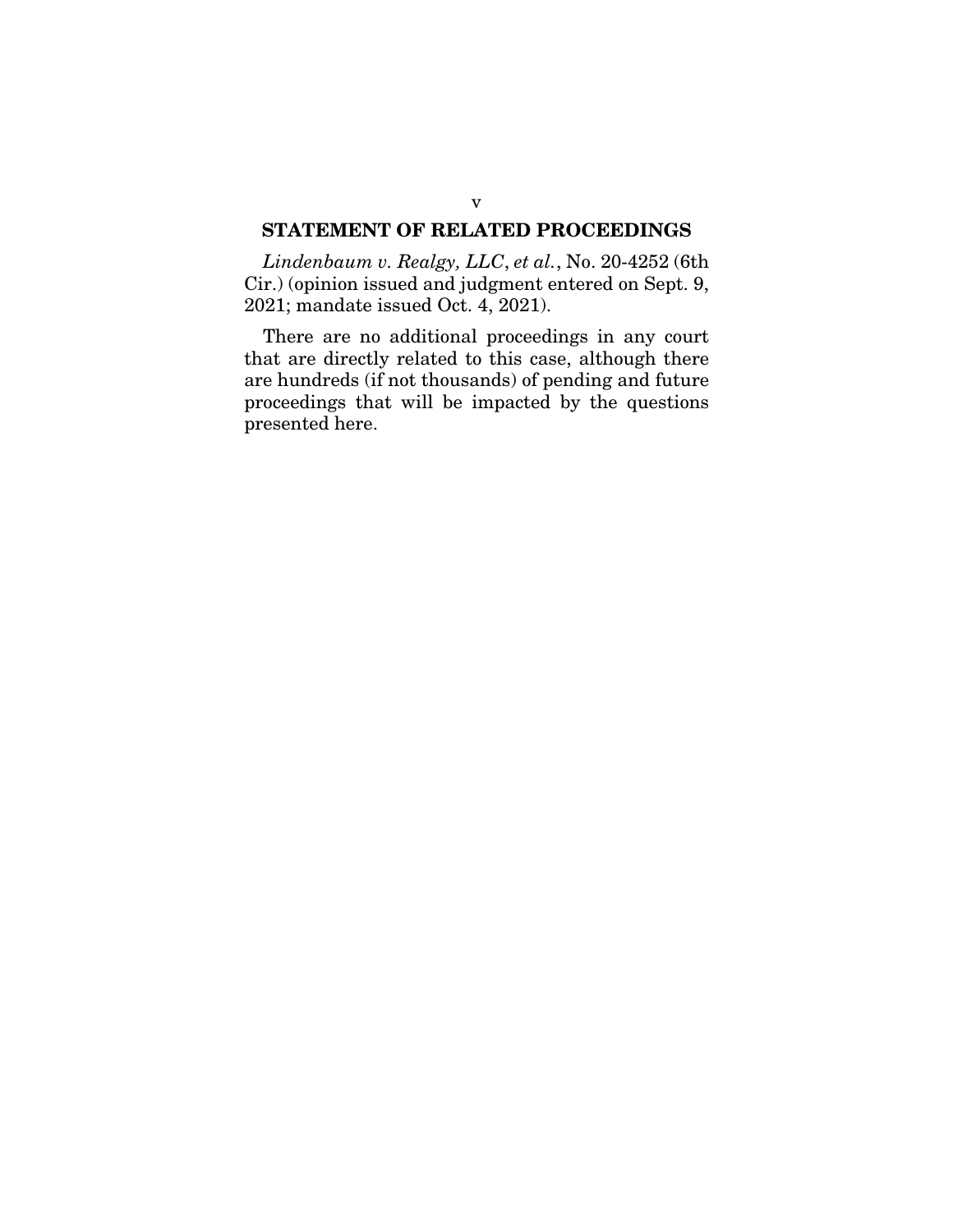## STATEMENT OF RELATED PROCEEDINGS

*Lindenbaum v. Realgy, LLC*, *et al.*, No. 20-4252 (6th Cir.) (opinion issued and judgment entered on Sept. 9, 2021; mandate issued Oct. 4, 2021).

There are no additional proceedings in any court that are directly related to this case, although there are hundreds (if not thousands) of pending and future proceedings that will be impacted by the questions presented here.

### v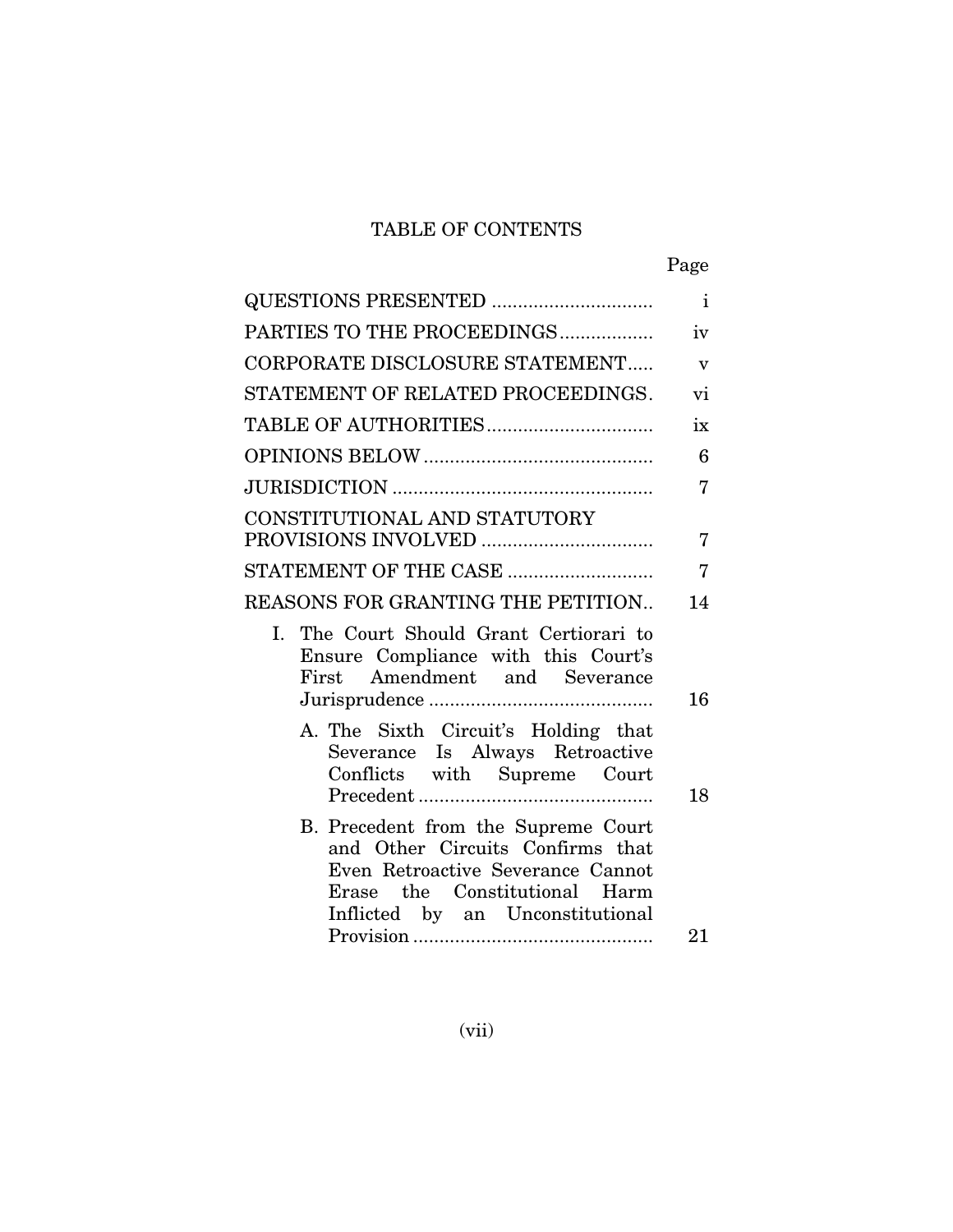# TABLE OF CONTENTS

|--|

| QUESTIONS PRESENTED                                                                                                                                                               | $\mathbf{i}$              |
|-----------------------------------------------------------------------------------------------------------------------------------------------------------------------------------|---------------------------|
| PARTIES TO THE PROCEEDINGS                                                                                                                                                        | iv                        |
| CORPORATE DISCLOSURE STATEMENT                                                                                                                                                    | $\boldsymbol{\mathrm{v}}$ |
| STATEMENT OF RELATED PROCEEDINGS.                                                                                                                                                 | vi                        |
|                                                                                                                                                                                   | ix                        |
|                                                                                                                                                                                   | 6                         |
|                                                                                                                                                                                   | 7                         |
| CONSTITUTIONAL AND STATUTORY                                                                                                                                                      |                           |
| PROVISIONS INVOLVED                                                                                                                                                               | 7                         |
| STATEMENT OF THE CASE                                                                                                                                                             | $\overline{7}$            |
| REASONS FOR GRANTING THE PETITION                                                                                                                                                 | 14                        |
| I. The Court Should Grant Certiorari to<br>Ensure Compliance with this Court's<br>First Amendment and Severance                                                                   | 16                        |
| A. The Sixth Circuit's Holding that<br>Severance Is Always Retroactive<br>Conflicts with Supreme Court                                                                            | 18                        |
| B. Precedent from the Supreme Court<br>and Other Circuits Confirms that<br>Even Retroactive Severance Cannot<br>Erase the Constitutional Harm<br>Inflicted by an Unconstitutional | 21                        |
|                                                                                                                                                                                   |                           |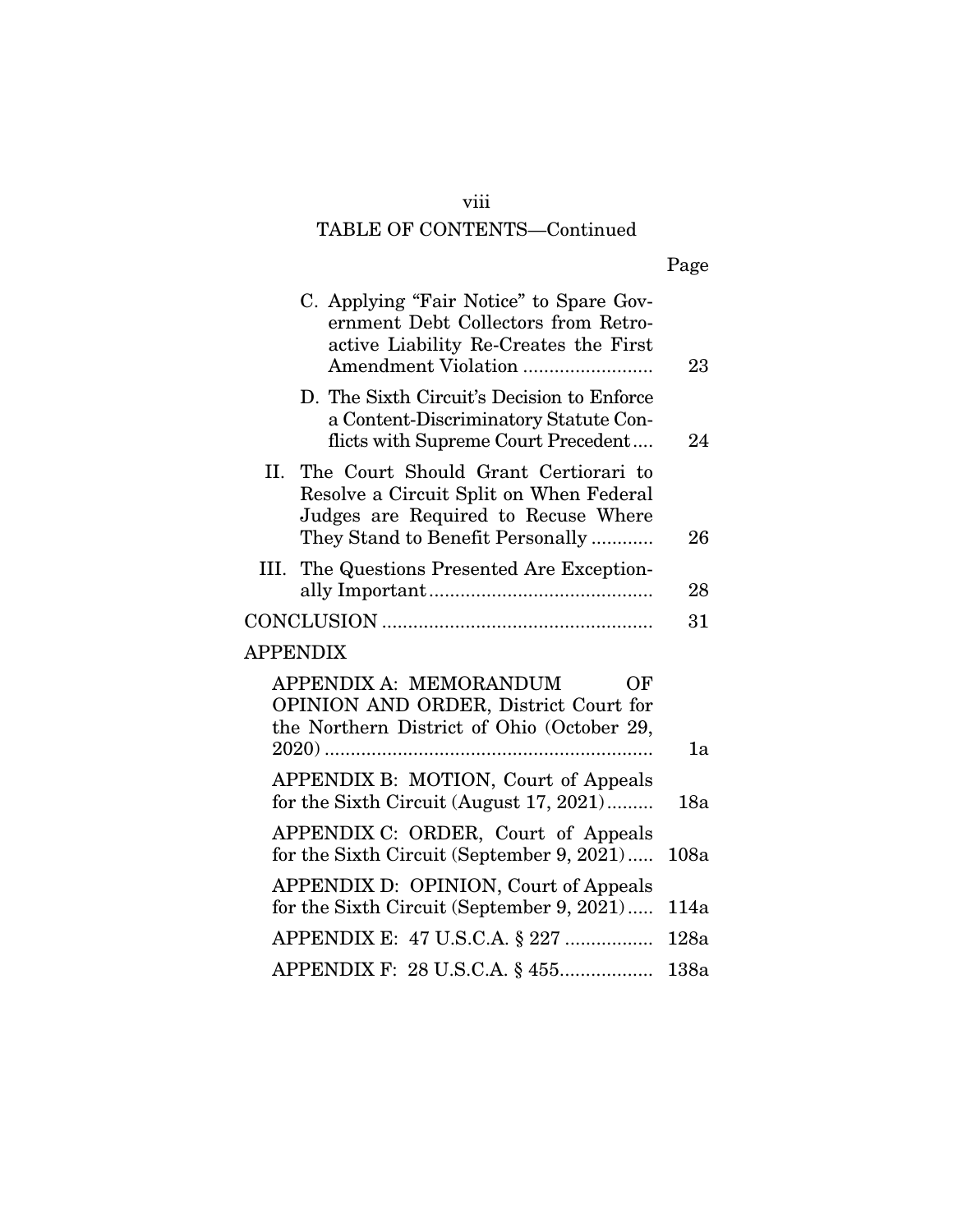# viii

# TABLE OF CONTENTS—Continued

|--|

| C. Applying "Fair Notice" to Spare Gov-<br>ernment Debt Collectors from Retro-<br>active Liability Re-Creates the First<br>Amendment Violation                 | 23   |
|----------------------------------------------------------------------------------------------------------------------------------------------------------------|------|
| D. The Sixth Circuit's Decision to Enforce<br>a Content-Discriminatory Statute Con-<br>flicts with Supreme Court Precedent                                     | 24   |
| II. The Court Should Grant Certiorari to<br>Resolve a Circuit Split on When Federal<br>Judges are Required to Recuse Where<br>They Stand to Benefit Personally | 26   |
| III. The Questions Presented Are Exception-                                                                                                                    | 28   |
|                                                                                                                                                                | 31   |
| <b>APPENDIX</b>                                                                                                                                                |      |
| APPENDIX A: MEMORANDUM<br>ОF<br>OPINION AND ORDER, District Court for<br>the Northern District of Ohio (October 29,                                            |      |
|                                                                                                                                                                | 1a   |
| APPENDIX B: MOTION, Court of Appeals<br>for the Sixth Circuit (August 17, 2021)                                                                                | 18a  |
| APPENDIX C: ORDER, Court of Appeals<br>for the Sixth Circuit (September 9, 2021)                                                                               | 108a |
| APPENDIX D: OPINION, Court of Appeals<br>for the Sixth Circuit (September 9, 2021)                                                                             | 114a |
| APPENDIX E: 47 U.S.C.A. § 227                                                                                                                                  | 128a |
| APPENDIX F: 28 U.S.C.A. § 455                                                                                                                                  | 138a |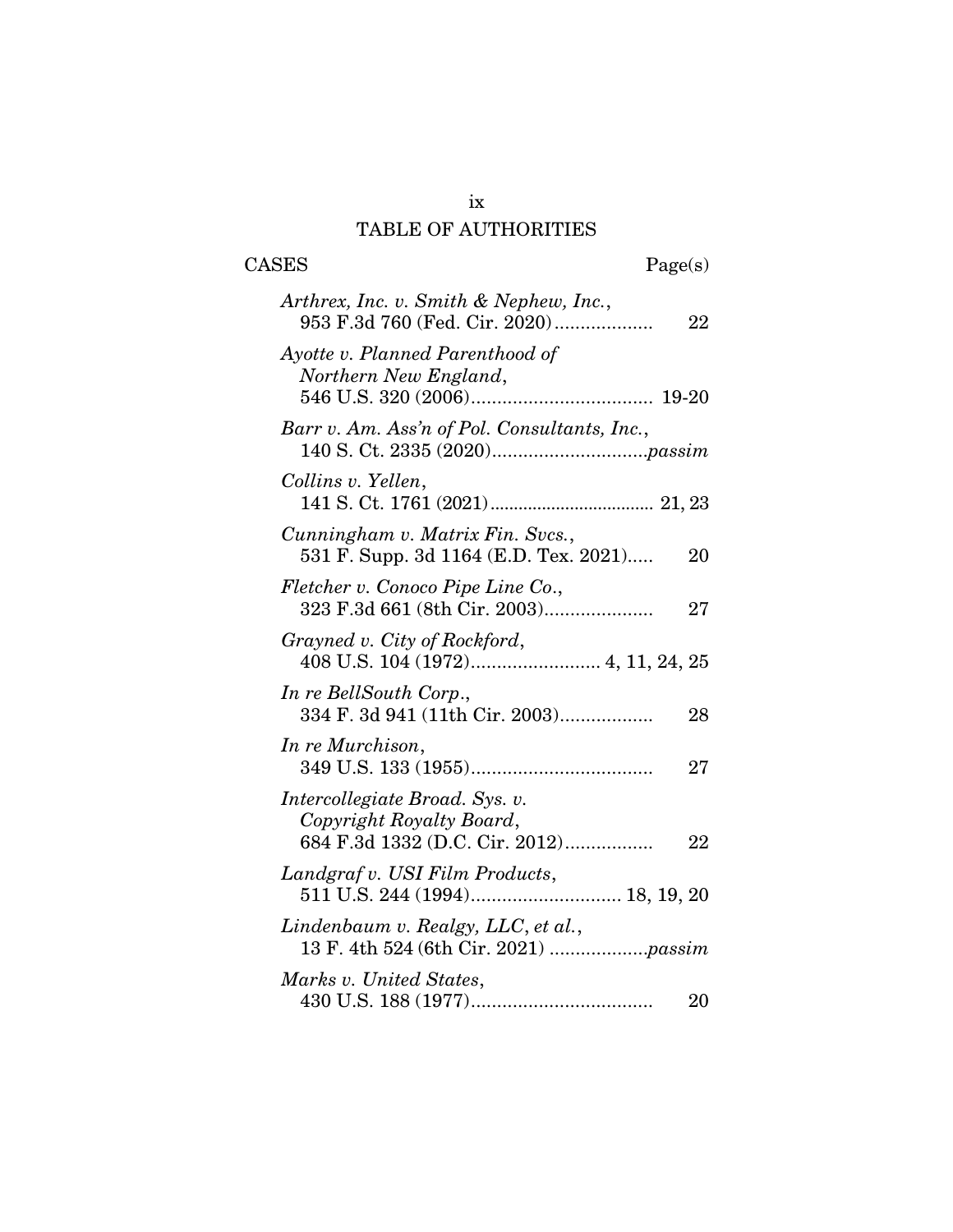# ix TABLE OF AUTHORITIES

| <b>CASES</b><br>Page(s)                                                                            |  |
|----------------------------------------------------------------------------------------------------|--|
| Arthrex, Inc. v. Smith & Nephew, Inc.,<br>953 F.3d 760 (Fed. Cir. 2020)<br>22                      |  |
| Ayotte v. Planned Parenthood of<br>Northern New England,                                           |  |
| Barr v. Am. Ass'n of Pol. Consultants, Inc.,                                                       |  |
| Collins v. Yellen,                                                                                 |  |
| Cunningham v. Matrix Fin. Svcs.,<br>531 F. Supp. 3d 1164 (E.D. Tex. 2021)<br>20                    |  |
| Fletcher v. Conoco Pipe Line Co.,<br>27                                                            |  |
| Grayned v. City of Rockford,                                                                       |  |
| In re BellSouth Corp.,<br>334 F. 3d 941 (11th Cir. 2003)<br>28                                     |  |
| In re Murchison,<br>27                                                                             |  |
| Intercollegiate Broad. Sys. v.<br>Copyright Royalty Board,<br>684 F.3d 1332 (D.C. Cir. 2012)<br>22 |  |
| Landgraf v. USI Film Products,                                                                     |  |
| Lindenbaum v. Realgy, LLC, et al.,                                                                 |  |
| Marks v. United States,<br>20                                                                      |  |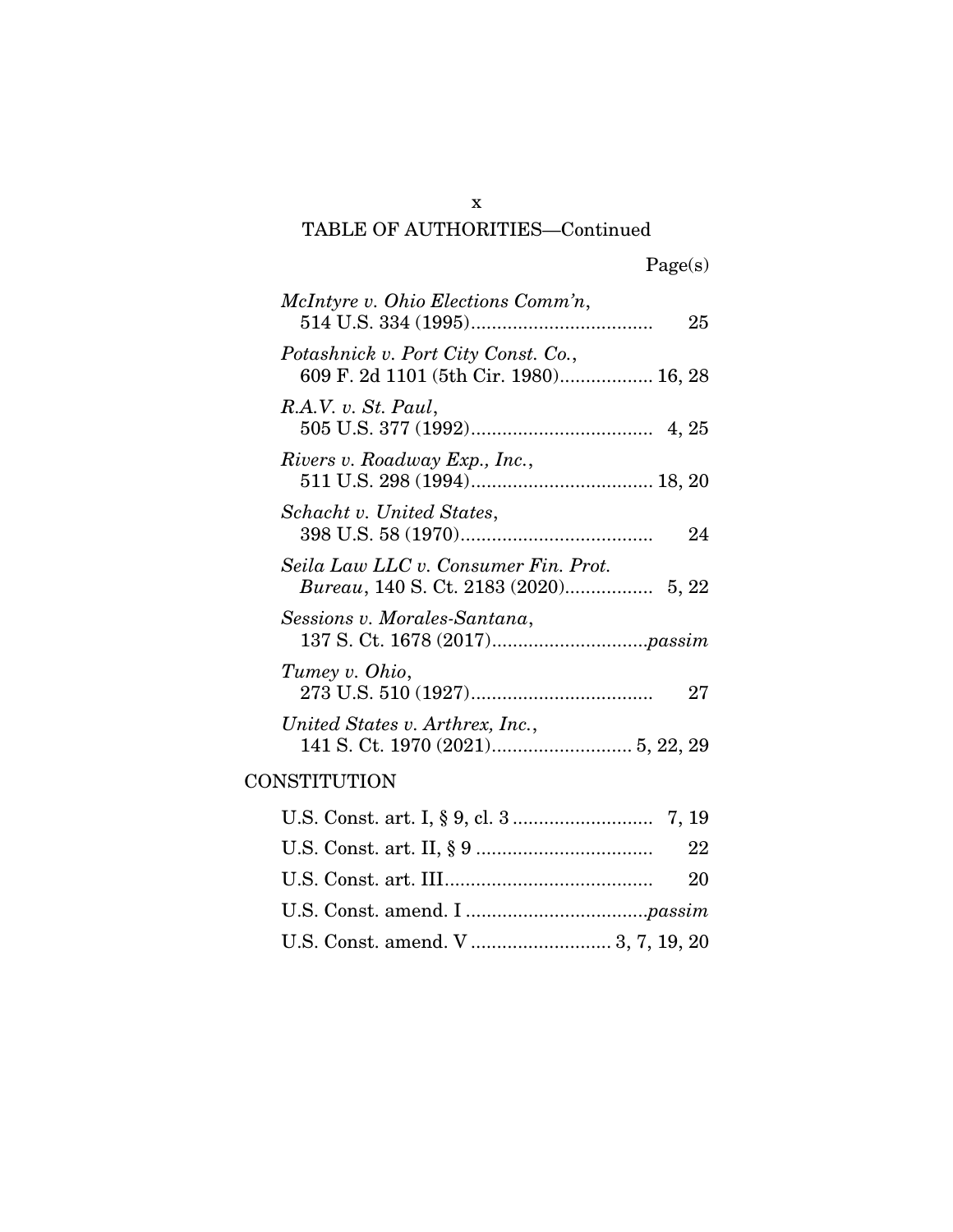TABLE OF AUTHORITIES—Continued

x

| McIntyre v. Ohio Elections Comm'n,<br>25                                     |
|------------------------------------------------------------------------------|
| Potashnick v. Port City Const. Co.,<br>609 F. 2d 1101 (5th Cir. 1980) 16, 28 |
| R.A.V. v. St. Paul,                                                          |
| Rivers v. Roadway Exp., Inc.,                                                |
| Schacht v. United States,<br>24                                              |
| Seila Law LLC v. Consumer Fin. Prot.                                         |
| Sessions v. Morales-Santana,                                                 |
| Tumey v. Ohio,<br>27                                                         |
| United States v. Arthrex, Inc.,                                              |
| CONSTITUTION                                                                 |
|                                                                              |
| 22                                                                           |
| 20                                                                           |
|                                                                              |
| U.S. Const. amend. V  3, 7, 19, 20                                           |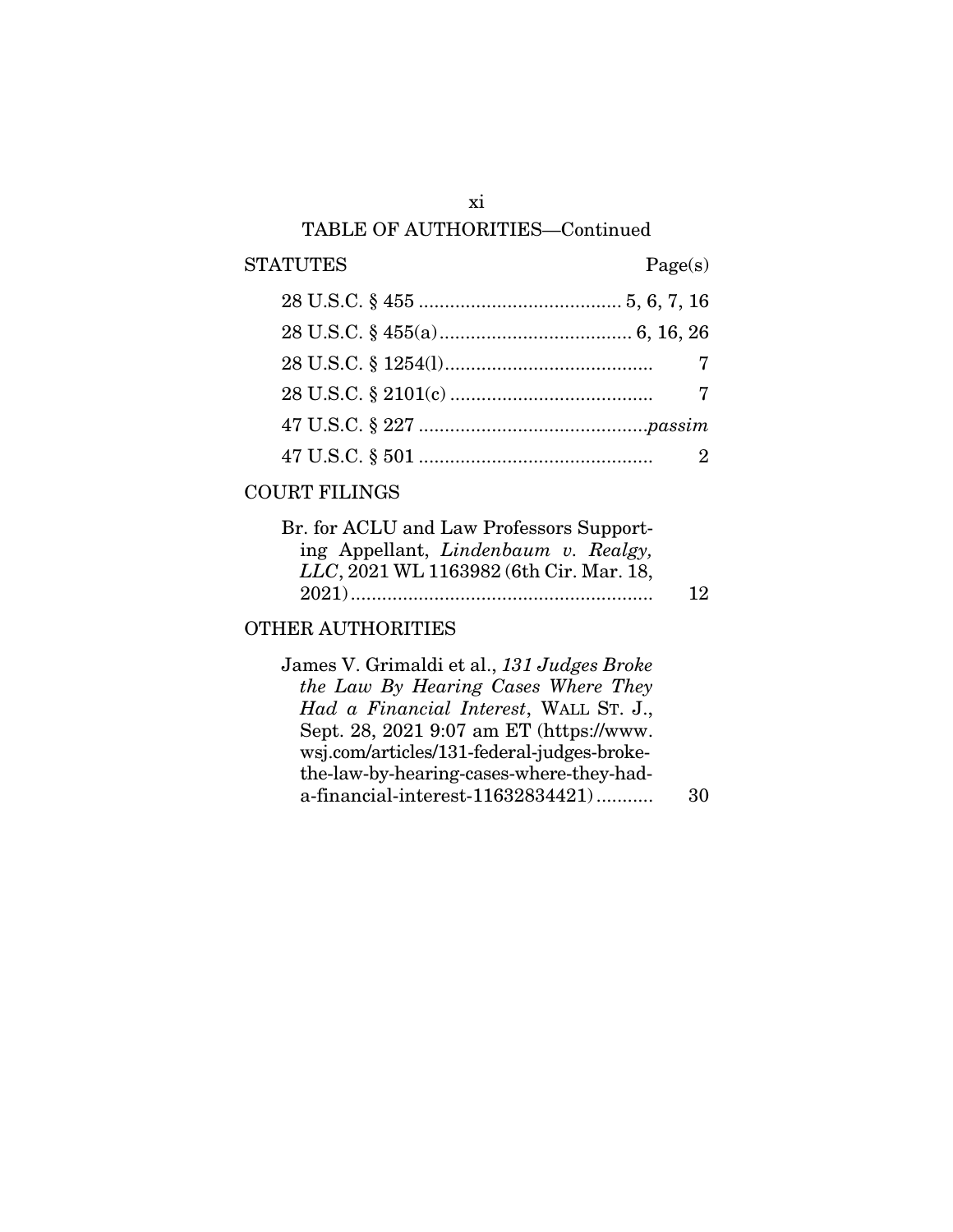# $\begin{tabular}{cc} \bf STATUTES & \end{tabular} \begin{tabular}{c} \bf \end{tabular} \begin{tabular}{c} \bf \end{tabular} \begin{tabular}{c} \bf \end{tabular} \begin{tabular}{c} \bf \end{tabular} \end{tabular} \begin{tabular}{c} \bf \end{tabular} \begin{tabular}{c} \bf \end{tabular} \end{tabular} \begin{tabular}{c} \bf \end{tabular} \begin{tabular}{c} \bf \end{tabular} \end{tabular} \begin{tabular}{c} \bf \end{tabular} \begin{tabular}{c} \bf \end{tabular} \begin{tabular}{c} \bf \end{tabular} \end{tabular$

# COURT FILINGS

| Br. for ACLU and Law Professors Support- |           |
|------------------------------------------|-----------|
| ing Appellant, Lindenbaum v. Realgy,     |           |
| LLC, 2021 WL 1163982 (6th Cir. Mar. 18,  |           |
|                                          | <b>12</b> |
|                                          |           |

# OTHER AUTHORITIES

| James V. Grimaldi et al., 131 Judges Broke |    |
|--------------------------------------------|----|
| the Law By Hearing Cases Where They        |    |
| Had a Financial Interest, WALL ST. J.,     |    |
| Sept. 28, 2021 9:07 am ET (https://www.    |    |
| wsj.com/articles/131-federal-judges-broke- |    |
| the-law-by-hearing-cases-where-they-had-   |    |
| a-financial-interest-11632834421)          | 30 |
|                                            |    |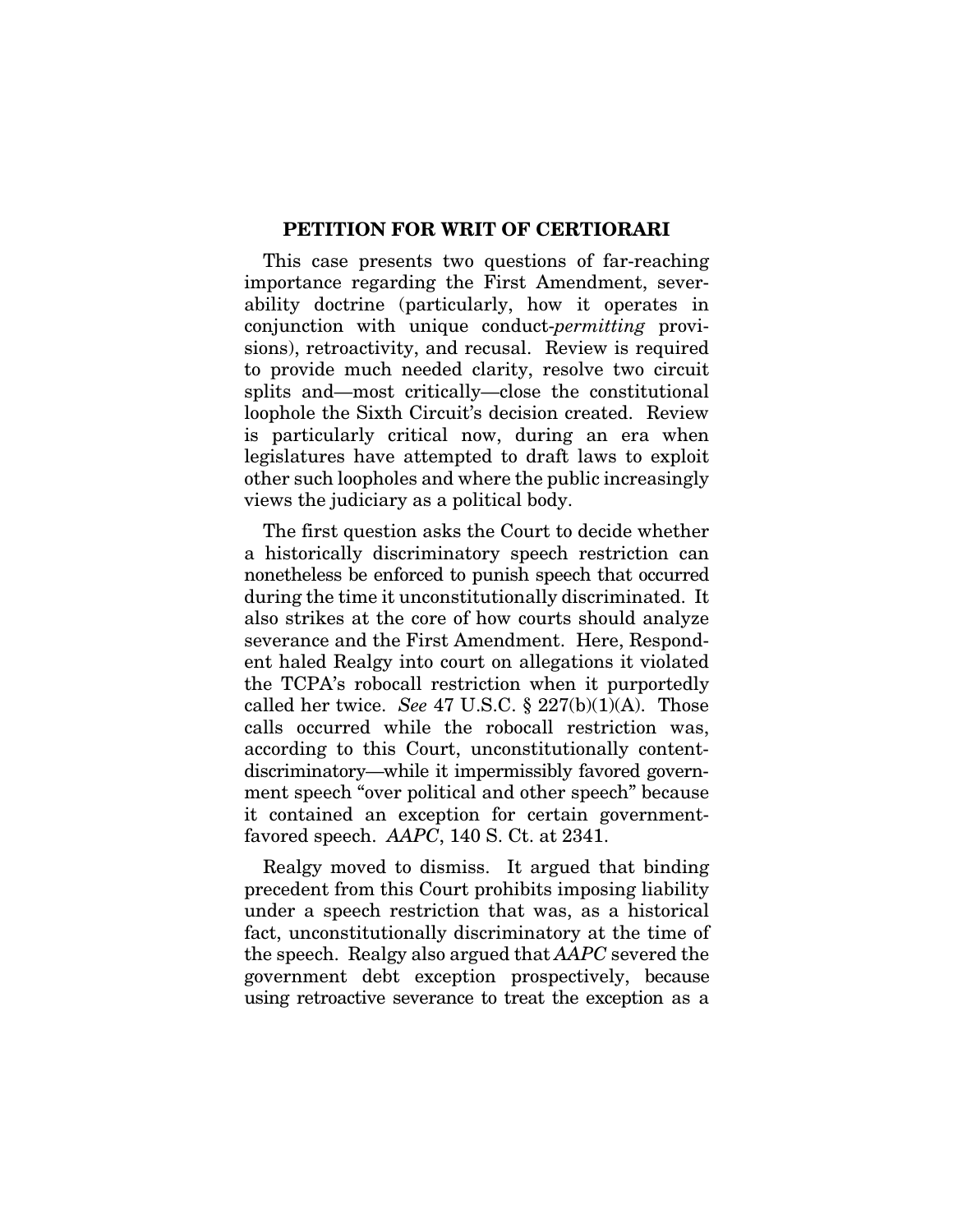#### PETITION FOR WRIT OF CERTIORARI

This case presents two questions of far-reaching importance regarding the First Amendment, severability doctrine (particularly, how it operates in conjunction with unique conduct-*permitting* provisions), retroactivity, and recusal. Review is required to provide much needed clarity, resolve two circuit splits and—most critically—close the constitutional loophole the Sixth Circuit's decision created. Review is particularly critical now, during an era when legislatures have attempted to draft laws to exploit other such loopholes and where the public increasingly views the judiciary as a political body.

The first question asks the Court to decide whether a historically discriminatory speech restriction can nonetheless be enforced to punish speech that occurred during the time it unconstitutionally discriminated. It also strikes at the core of how courts should analyze severance and the First Amendment. Here, Respondent haled Realgy into court on allegations it violated the TCPA's robocall restriction when it purportedly called her twice. *See* 47 U.S.C. § 227(b)(1)(A). Those calls occurred while the robocall restriction was, according to this Court, unconstitutionally contentdiscriminatory—while it impermissibly favored government speech "over political and other speech" because it contained an exception for certain governmentfavored speech. *AAPC*, 140 S. Ct. at 2341.

Realgy moved to dismiss. It argued that binding precedent from this Court prohibits imposing liability under a speech restriction that was, as a historical fact, unconstitutionally discriminatory at the time of the speech. Realgy also argued that *AAPC* severed the government debt exception prospectively, because using retroactive severance to treat the exception as a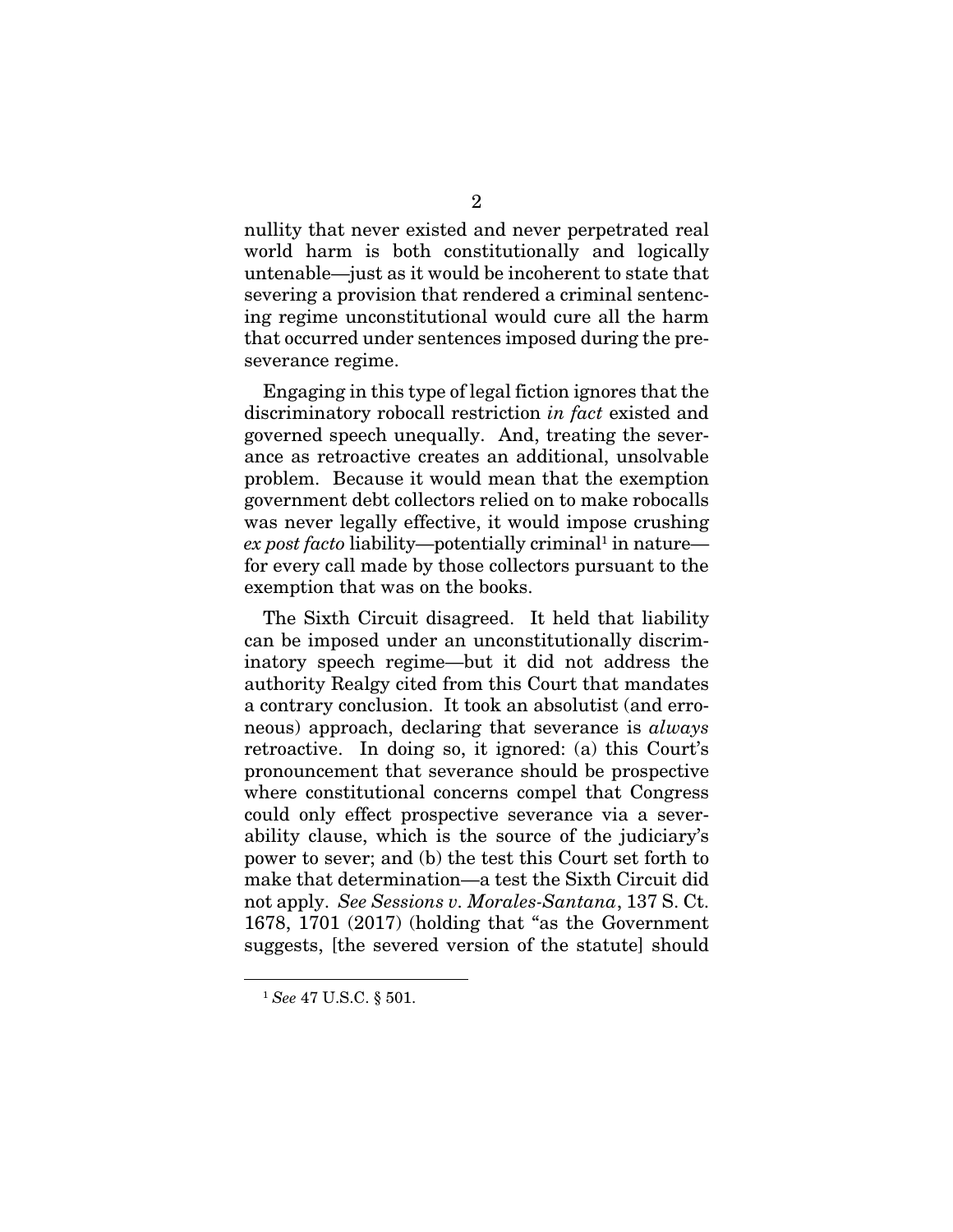nullity that never existed and never perpetrated real world harm is both constitutionally and logically untenable—just as it would be incoherent to state that severing a provision that rendered a criminal sentencing regime unconstitutional would cure all the harm that occurred under sentences imposed during the preseverance regime.

Engaging in this type of legal fiction ignores that the discriminatory robocall restriction *in fact* existed and governed speech unequally. And, treating the severance as retroactive creates an additional, unsolvable problem. Because it would mean that the exemption government debt collectors relied on to make robocalls was never legally effective, it would impose crushing ex post facto liability—potentially criminal<sup>1</sup> in nature for every call made by those collectors pursuant to the exemption that was on the books.

The Sixth Circuit disagreed. It held that liability can be imposed under an unconstitutionally discriminatory speech regime—but it did not address the authority Realgy cited from this Court that mandates a contrary conclusion. It took an absolutist (and erroneous) approach, declaring that severance is *always*  retroactive. In doing so, it ignored: (a) this Court's pronouncement that severance should be prospective where constitutional concerns compel that Congress could only effect prospective severance via a severability clause, which is the source of the judiciary's power to sever; and (b) the test this Court set forth to make that determination—a test the Sixth Circuit did not apply. *See Sessions v. Morales-Santana*, 137 S. Ct. 1678, 1701 (2017) (holding that "as the Government suggests, [the severed version of the statute] should

<sup>1</sup> *See* 47 U.S.C. § 501.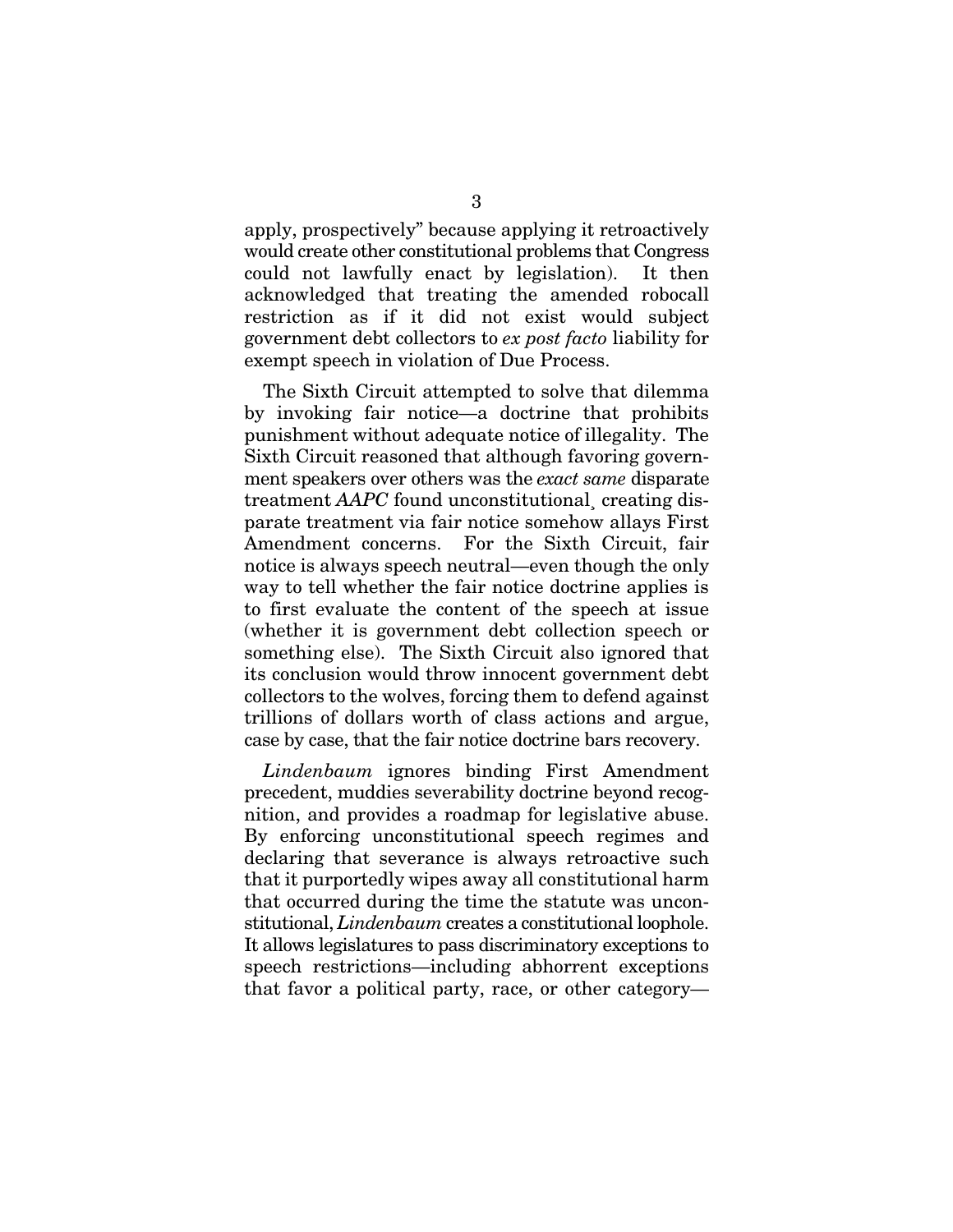apply, prospectively" because applying it retroactively would create other constitutional problems that Congress could not lawfully enact by legislation). It then acknowledged that treating the amended robocall restriction as if it did not exist would subject government debt collectors to *ex post facto* liability for exempt speech in violation of Due Process.

The Sixth Circuit attempted to solve that dilemma by invoking fair notice—a doctrine that prohibits punishment without adequate notice of illegality. The Sixth Circuit reasoned that although favoring government speakers over others was the *exact same* disparate treatment *AAPC* found unconstitutional¸ creating disparate treatment via fair notice somehow allays First Amendment concerns. For the Sixth Circuit, fair notice is always speech neutral—even though the only way to tell whether the fair notice doctrine applies is to first evaluate the content of the speech at issue (whether it is government debt collection speech or something else). The Sixth Circuit also ignored that its conclusion would throw innocent government debt collectors to the wolves, forcing them to defend against trillions of dollars worth of class actions and argue, case by case, that the fair notice doctrine bars recovery.

*Lindenbaum* ignores binding First Amendment precedent, muddies severability doctrine beyond recognition, and provides a roadmap for legislative abuse. By enforcing unconstitutional speech regimes and declaring that severance is always retroactive such that it purportedly wipes away all constitutional harm that occurred during the time the statute was unconstitutional, *Lindenbaum* creates a constitutional loophole. It allows legislatures to pass discriminatory exceptions to speech restrictions—including abhorrent exceptions that favor a political party, race, or other category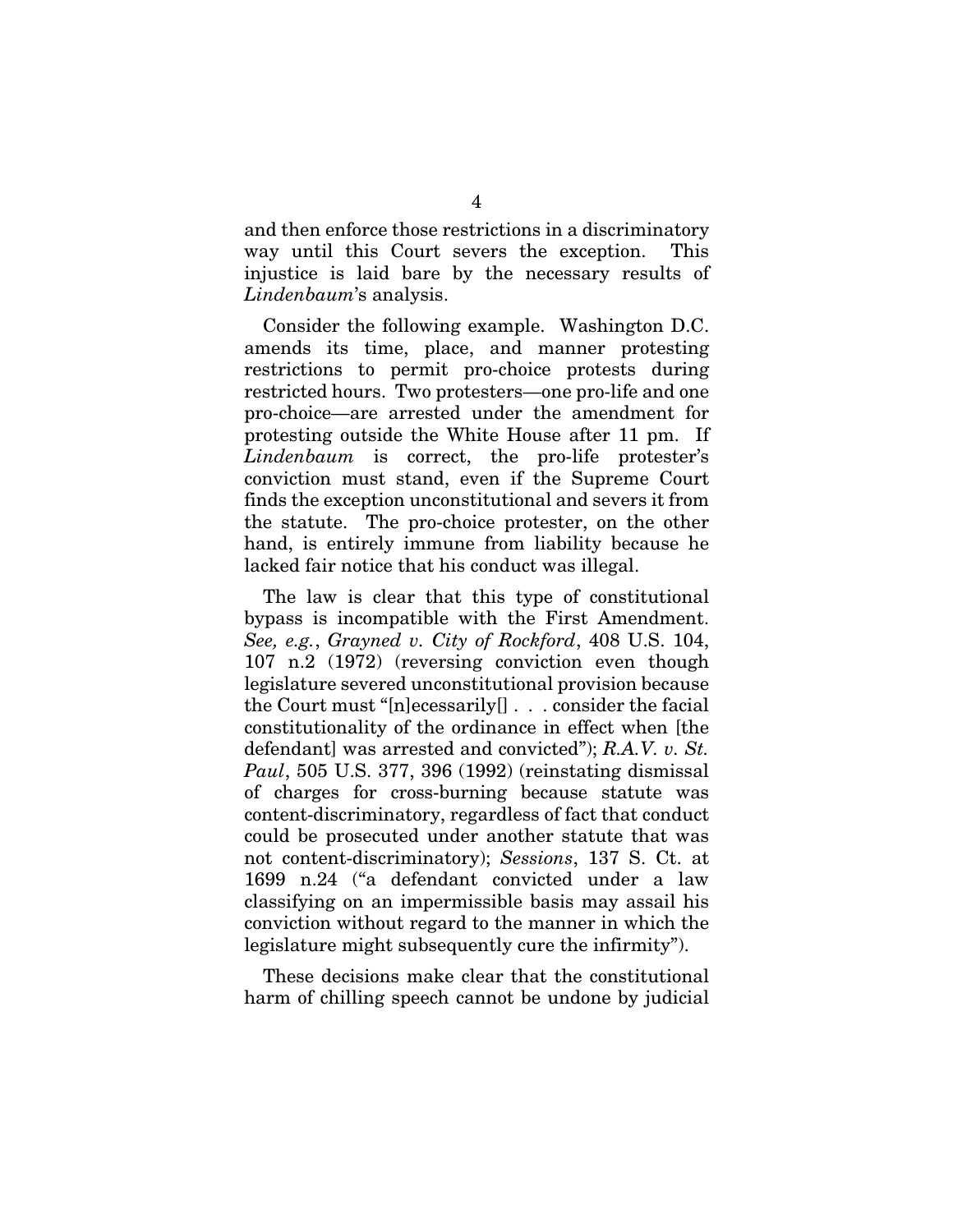and then enforce those restrictions in a discriminatory way until this Court severs the exception. This injustice is laid bare by the necessary results of *Lindenbaum*'s analysis.

Consider the following example. Washington D.C. amends its time, place, and manner protesting restrictions to permit pro-choice protests during restricted hours. Two protesters—one pro-life and one pro-choice—are arrested under the amendment for protesting outside the White House after 11 pm. If *Lindenbaum* is correct, the pro-life protester's conviction must stand, even if the Supreme Court finds the exception unconstitutional and severs it from the statute. The pro-choice protester, on the other hand, is entirely immune from liability because he lacked fair notice that his conduct was illegal.

The law is clear that this type of constitutional bypass is incompatible with the First Amendment. *See, e.g.*, *Grayned v. City of Rockford*, 408 U.S. 104, 107 n.2 (1972) (reversing conviction even though legislature severed unconstitutional provision because the Court must "[n]ecessarily[] . . . consider the facial constitutionality of the ordinance in effect when [the defendant] was arrested and convicted"); *R.A.V. v. St. Paul*, 505 U.S. 377, 396 (1992) (reinstating dismissal of charges for cross-burning because statute was content-discriminatory, regardless of fact that conduct could be prosecuted under another statute that was not content-discriminatory); *Sessions*, 137 S. Ct. at 1699 n.24 ("a defendant convicted under a law classifying on an impermissible basis may assail his conviction without regard to the manner in which the legislature might subsequently cure the infirmity").

These decisions make clear that the constitutional harm of chilling speech cannot be undone by judicial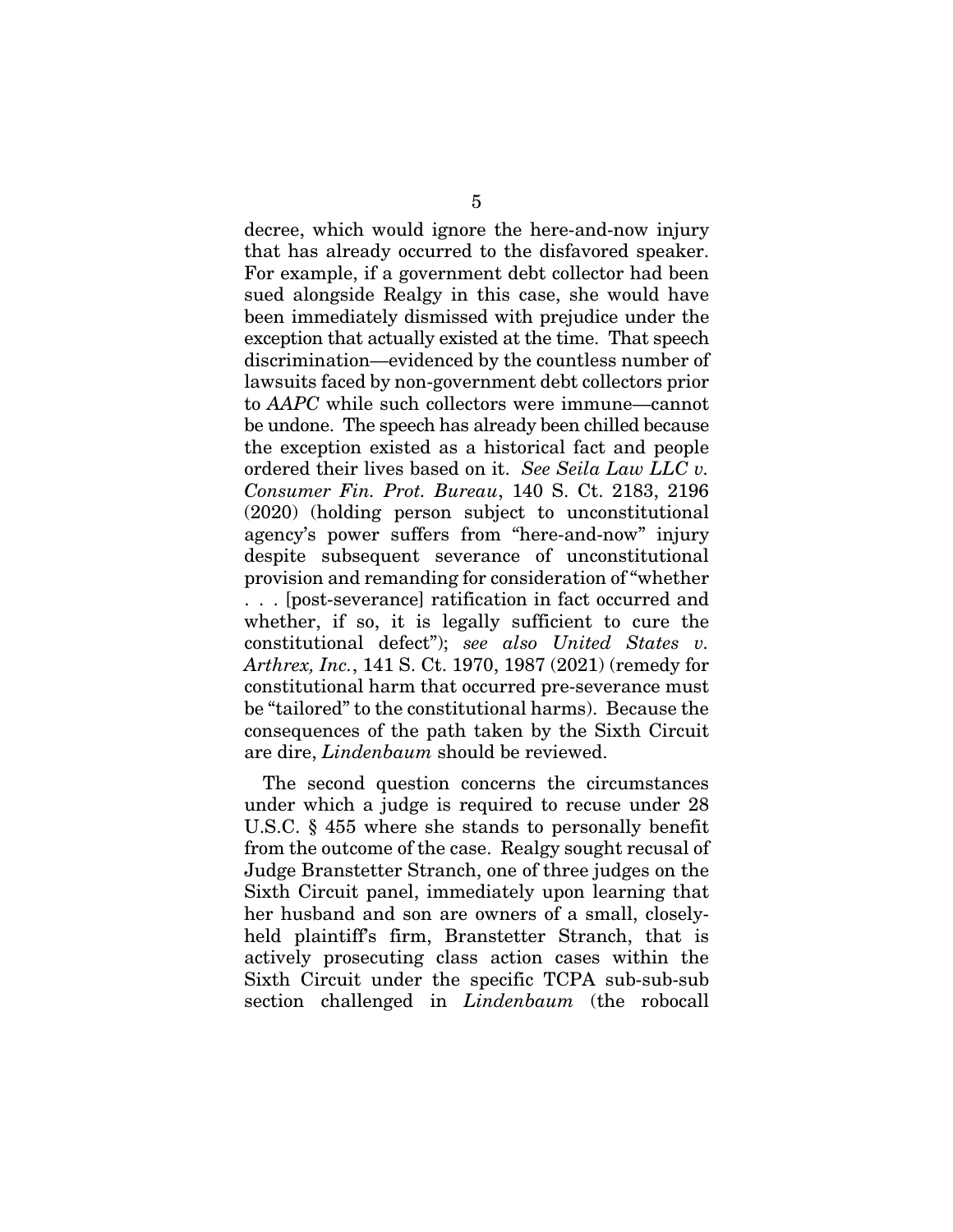decree, which would ignore the here-and-now injury that has already occurred to the disfavored speaker. For example, if a government debt collector had been sued alongside Realgy in this case, she would have been immediately dismissed with prejudice under the exception that actually existed at the time. That speech discrimination—evidenced by the countless number of lawsuits faced by non-government debt collectors prior to *AAPC* while such collectors were immune—cannot be undone. The speech has already been chilled because the exception existed as a historical fact and people ordered their lives based on it. *See Seila Law LLC v. Consumer Fin. Prot. Bureau*, 140 S. Ct. 2183, 2196 (2020) (holding person subject to unconstitutional agency's power suffers from "here-and-now" injury despite subsequent severance of unconstitutional provision and remanding for consideration of "whether . . . [post-severance] ratification in fact occurred and whether, if so, it is legally sufficient to cure the constitutional defect"); *see also United States v. Arthrex, Inc.*, 141 S. Ct. 1970, 1987 (2021) (remedy for constitutional harm that occurred pre-severance must be "tailored" to the constitutional harms). Because the consequences of the path taken by the Sixth Circuit are dire, *Lindenbaum* should be reviewed.

The second question concerns the circumstances under which a judge is required to recuse under 28 U.S.C. § 455 where she stands to personally benefit from the outcome of the case. Realgy sought recusal of Judge Branstetter Stranch, one of three judges on the Sixth Circuit panel, immediately upon learning that her husband and son are owners of a small, closelyheld plaintiff's firm, Branstetter Stranch, that is actively prosecuting class action cases within the Sixth Circuit under the specific TCPA sub-sub-sub section challenged in *Lindenbaum* (the robocall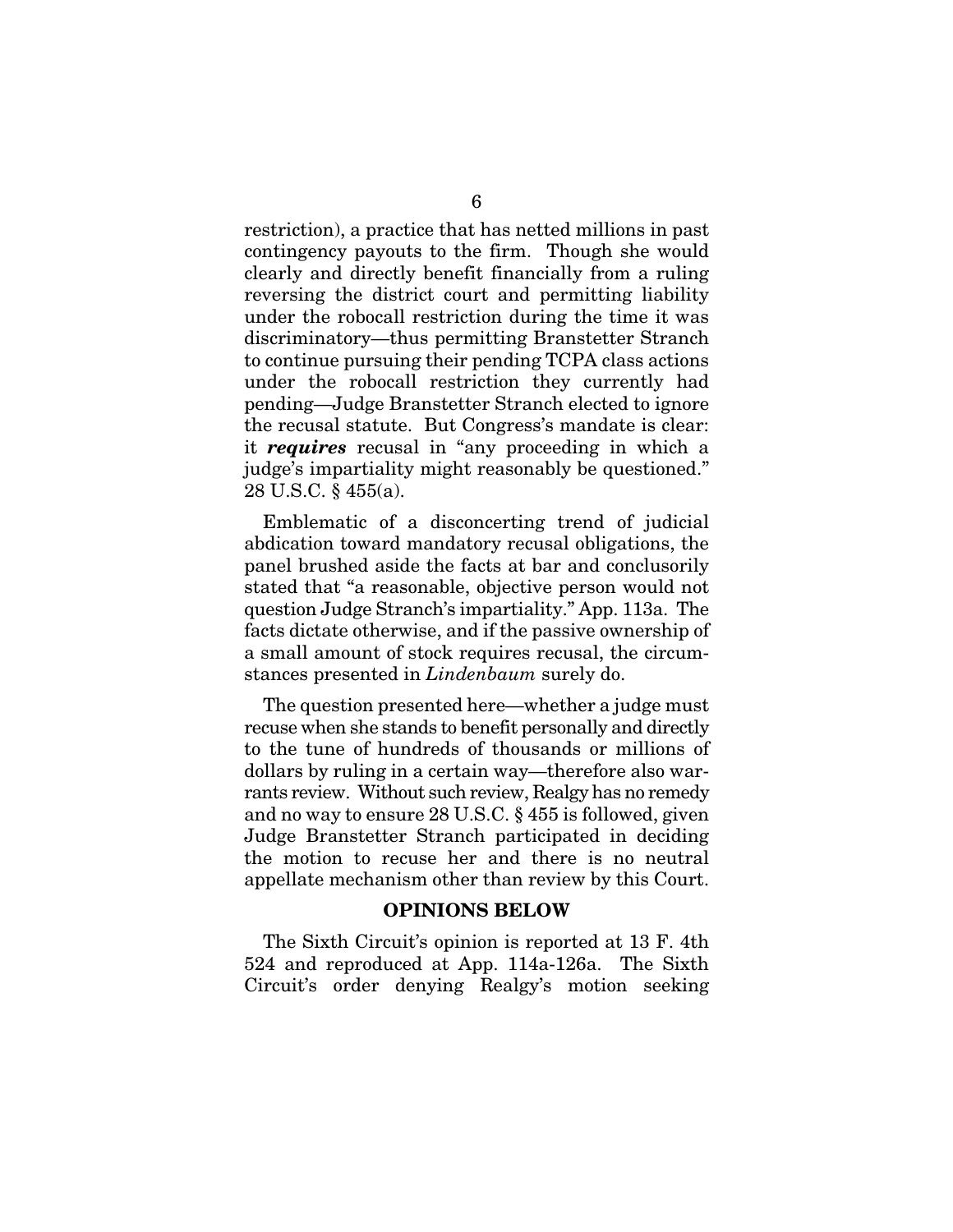restriction), a practice that has netted millions in past contingency payouts to the firm. Though she would clearly and directly benefit financially from a ruling reversing the district court and permitting liability under the robocall restriction during the time it was discriminatory—thus permitting Branstetter Stranch to continue pursuing their pending TCPA class actions under the robocall restriction they currently had pending—Judge Branstetter Stranch elected to ignore the recusal statute. But Congress's mandate is clear: it *requires* recusal in "any proceeding in which a judge's impartiality might reasonably be questioned." 28 U.S.C. § 455(a).

Emblematic of a disconcerting trend of judicial abdication toward mandatory recusal obligations, the panel brushed aside the facts at bar and conclusorily stated that "a reasonable, objective person would not question Judge Stranch's impartiality." App. 113a. The facts dictate otherwise, and if the passive ownership of a small amount of stock requires recusal, the circumstances presented in *Lindenbaum* surely do.

The question presented here—whether a judge must recuse when she stands to benefit personally and directly to the tune of hundreds of thousands or millions of dollars by ruling in a certain way—therefore also warrants review. Without such review, Realgy has no remedy and no way to ensure 28 U.S.C. § 455 is followed, given Judge Branstetter Stranch participated in deciding the motion to recuse her and there is no neutral appellate mechanism other than review by this Court.

#### OPINIONS BELOW

The Sixth Circuit's opinion is reported at 13 F. 4th 524 and reproduced at App. 114a-126a. The Sixth Circuit's order denying Realgy's motion seeking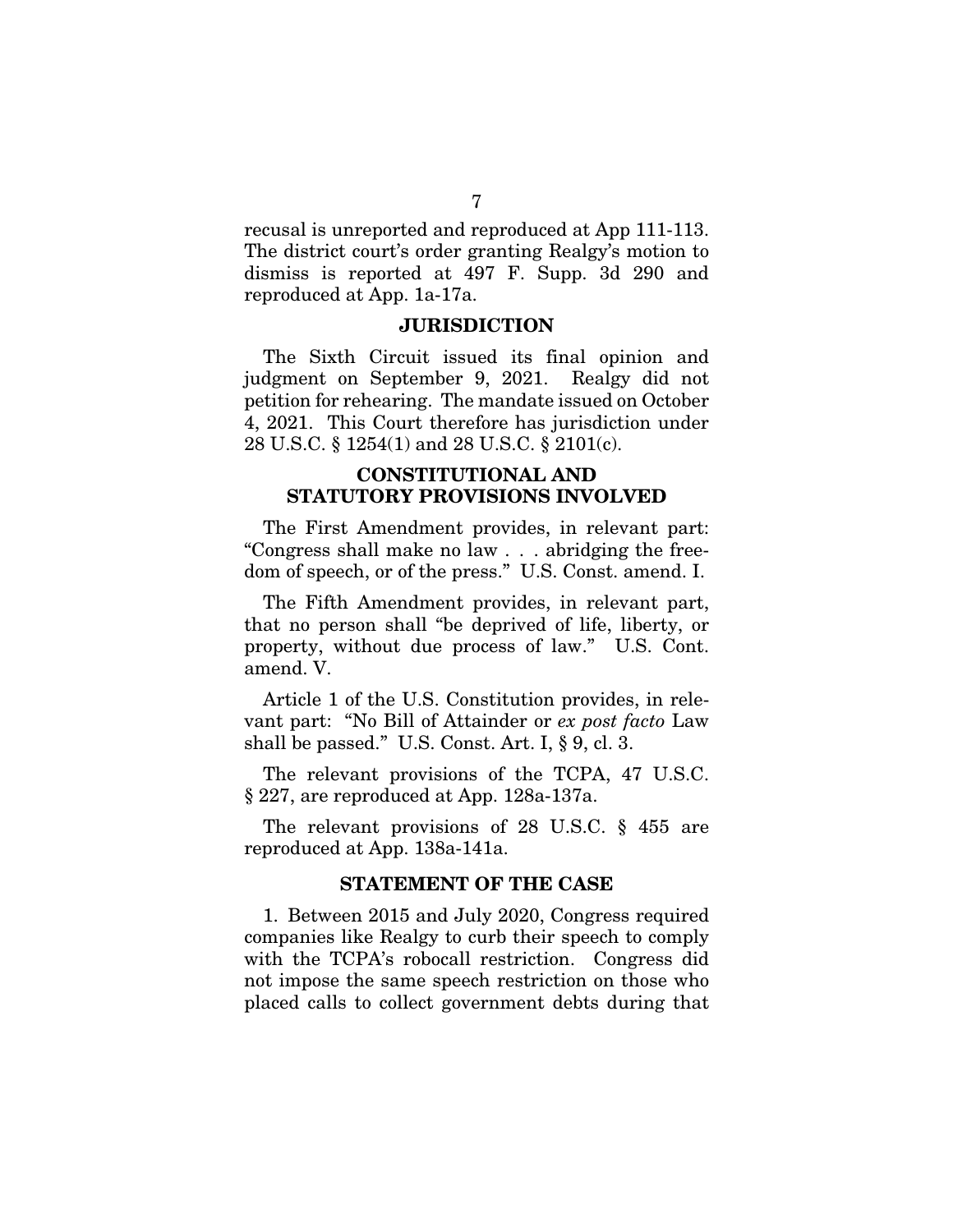recusal is unreported and reproduced at App 111-113. The district court's order granting Realgy's motion to dismiss is reported at 497 F. Supp. 3d 290 and reproduced at App. 1a-17a.

#### JURISDICTION

The Sixth Circuit issued its final opinion and judgment on September 9, 2021. Realgy did not petition for rehearing. The mandate issued on October 4, 2021. This Court therefore has jurisdiction under 28 U.S.C. § 1254(1) and 28 U.S.C. § 2101(c).

## CONSTITUTIONAL AND STATUTORY PROVISIONS INVOLVED

The First Amendment provides, in relevant part: "Congress shall make no law . . . abridging the freedom of speech, or of the press." U.S. Const. amend. I.

The Fifth Amendment provides, in relevant part, that no person shall "be deprived of life, liberty, or property, without due process of law." U.S. Cont. amend. V.

Article 1 of the U.S. Constitution provides, in relevant part: "No Bill of Attainder or *ex post facto* Law shall be passed." U.S. Const. Art. I, § 9, cl. 3.

The relevant provisions of the TCPA, 47 U.S.C. § 227, are reproduced at App. 128a-137a.

The relevant provisions of 28 U.S.C. § 455 are reproduced at App. 138a-141a.

#### STATEMENT OF THE CASE

1. Between 2015 and July 2020, Congress required companies like Realgy to curb their speech to comply with the TCPA's robocall restriction. Congress did not impose the same speech restriction on those who placed calls to collect government debts during that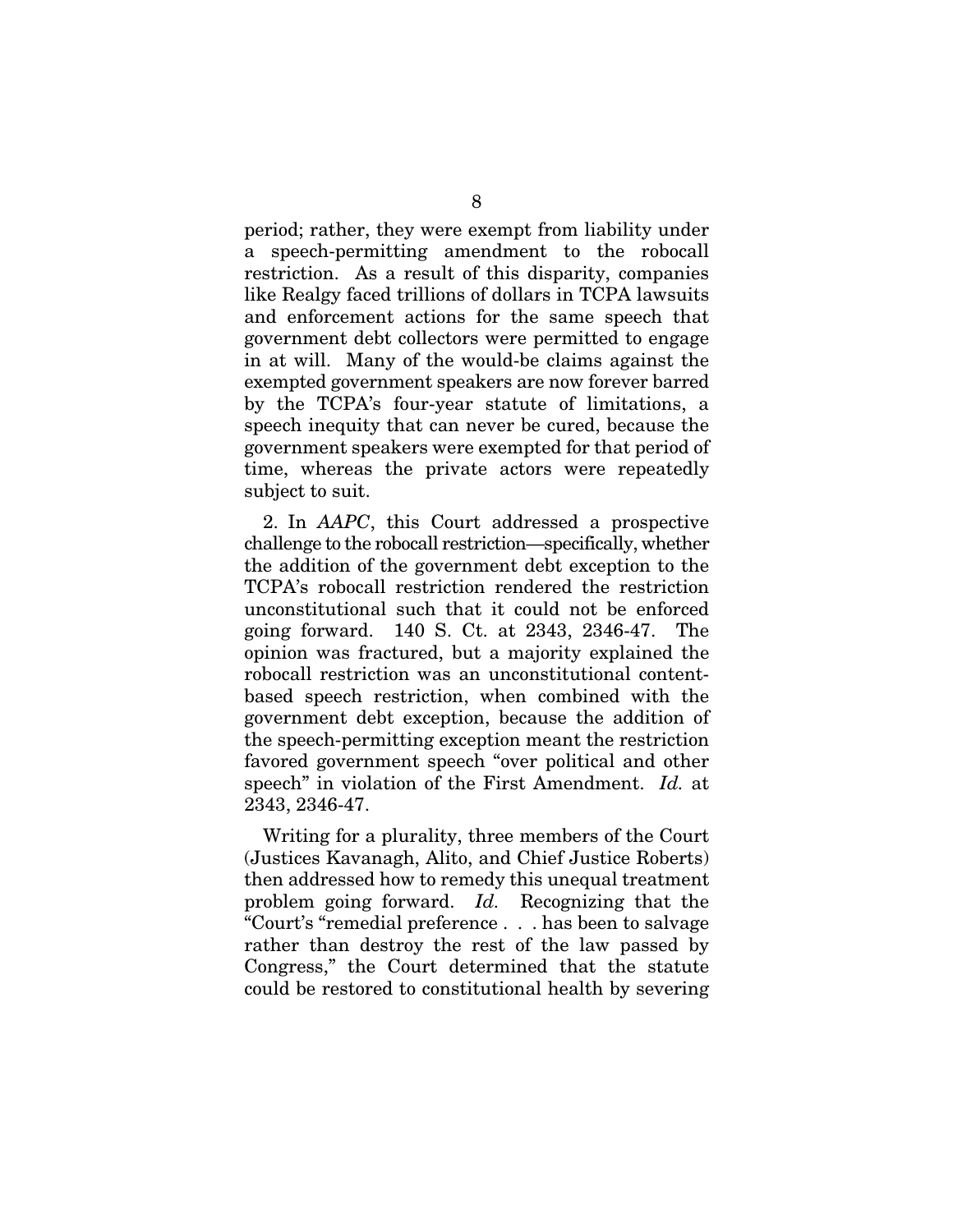period; rather, they were exempt from liability under a speech-permitting amendment to the robocall restriction. As a result of this disparity, companies like Realgy faced trillions of dollars in TCPA lawsuits and enforcement actions for the same speech that government debt collectors were permitted to engage in at will. Many of the would-be claims against the exempted government speakers are now forever barred by the TCPA's four-year statute of limitations, a speech inequity that can never be cured, because the government speakers were exempted for that period of time, whereas the private actors were repeatedly subject to suit.

2. In *AAPC*, this Court addressed a prospective challenge to the robocall restriction—specifically, whether the addition of the government debt exception to the TCPA's robocall restriction rendered the restriction unconstitutional such that it could not be enforced going forward. 140 S. Ct. at 2343, 2346-47. The opinion was fractured, but a majority explained the robocall restriction was an unconstitutional contentbased speech restriction, when combined with the government debt exception, because the addition of the speech-permitting exception meant the restriction favored government speech "over political and other speech" in violation of the First Amendment. *Id.* at 2343, 2346-47.

Writing for a plurality, three members of the Court (Justices Kavanagh, Alito, and Chief Justice Roberts) then addressed how to remedy this unequal treatment problem going forward. *Id.* Recognizing that the "Court's "remedial preference . . . has been to salvage rather than destroy the rest of the law passed by Congress," the Court determined that the statute could be restored to constitutional health by severing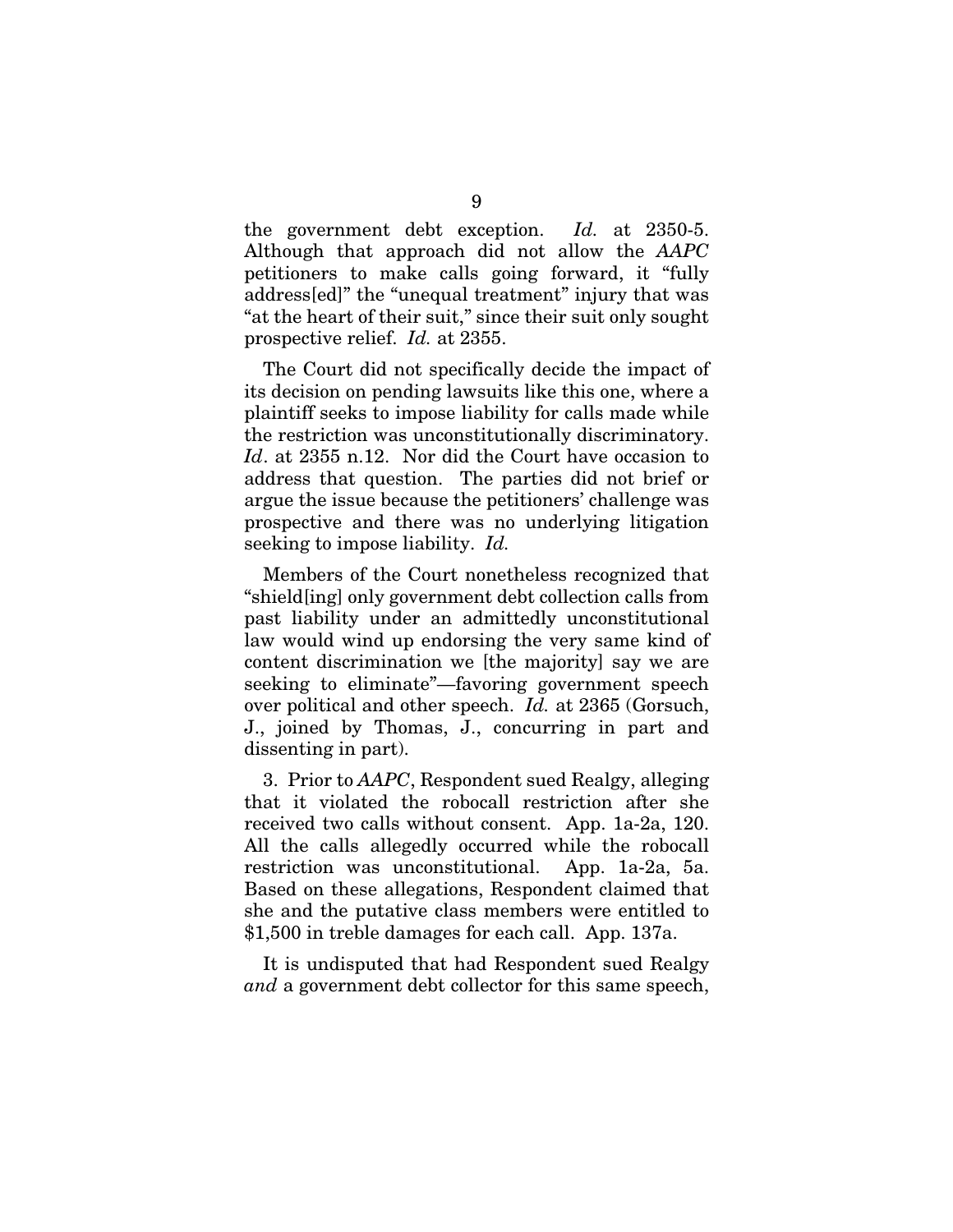the government debt exception. *Id.* at 2350-5. Although that approach did not allow the *AAPC*  petitioners to make calls going forward, it "fully address[ed]" the "unequal treatment" injury that was "at the heart of their suit," since their suit only sought prospective relief. *Id.* at 2355.

The Court did not specifically decide the impact of its decision on pending lawsuits like this one, where a plaintiff seeks to impose liability for calls made while the restriction was unconstitutionally discriminatory. *Id*. at 2355 n.12. Nor did the Court have occasion to address that question. The parties did not brief or argue the issue because the petitioners' challenge was prospective and there was no underlying litigation seeking to impose liability. *Id.* 

Members of the Court nonetheless recognized that "shield[ing] only government debt collection calls from past liability under an admittedly unconstitutional law would wind up endorsing the very same kind of content discrimination we [the majority] say we are seeking to eliminate"—favoring government speech over political and other speech. *Id.* at 2365 (Gorsuch, J., joined by Thomas, J., concurring in part and dissenting in part).

3. Prior to *AAPC*, Respondent sued Realgy, alleging that it violated the robocall restriction after she received two calls without consent. App. 1a-2a, 120. All the calls allegedly occurred while the robocall restriction was unconstitutional. App. 1a-2a, 5a. Based on these allegations, Respondent claimed that she and the putative class members were entitled to \$1,500 in treble damages for each call. App. 137a.

It is undisputed that had Respondent sued Realgy *and* a government debt collector for this same speech,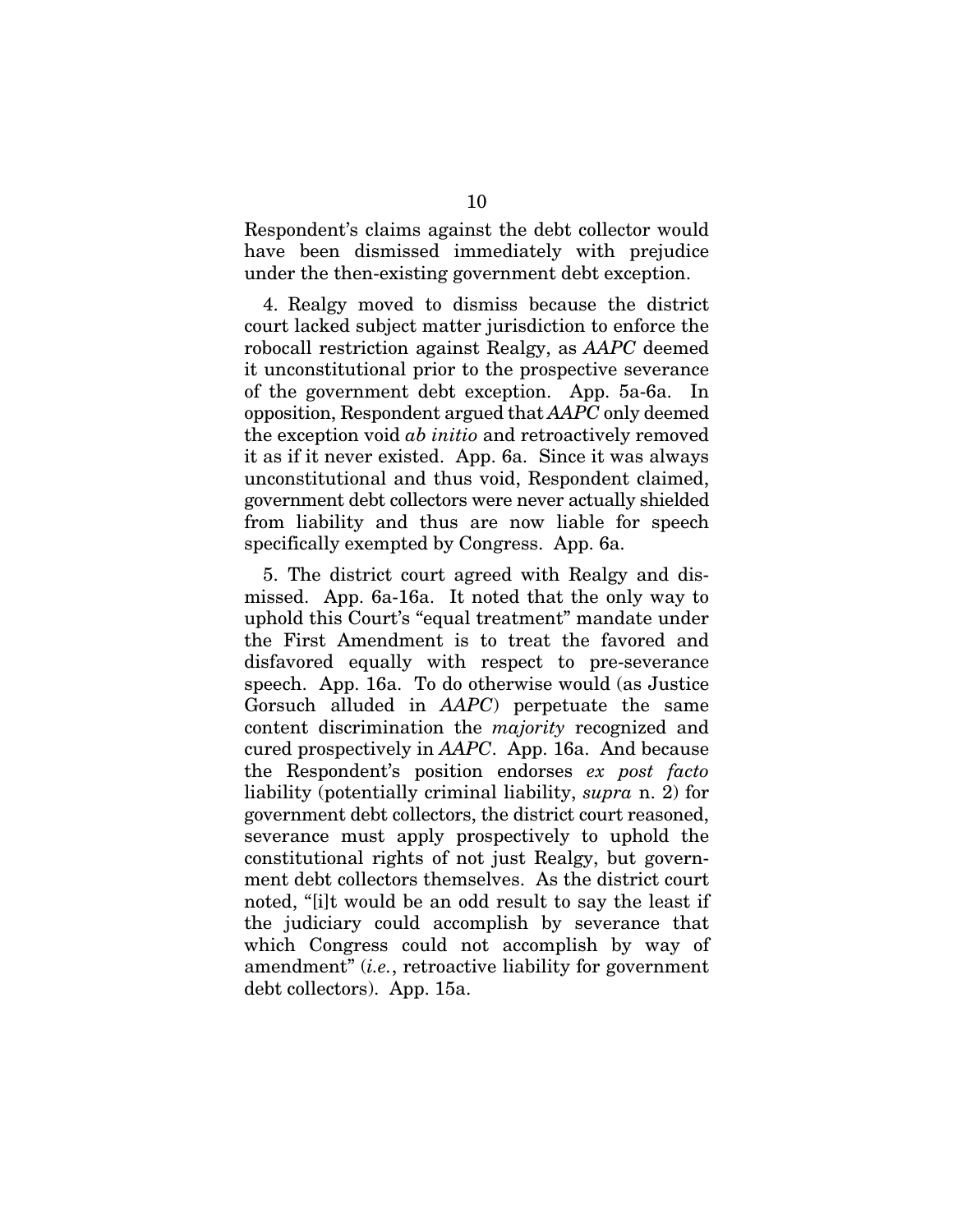Respondent's claims against the debt collector would have been dismissed immediately with prejudice under the then-existing government debt exception.

4. Realgy moved to dismiss because the district court lacked subject matter jurisdiction to enforce the robocall restriction against Realgy, as *AAPC* deemed it unconstitutional prior to the prospective severance of the government debt exception. App. 5a-6a. In opposition, Respondent argued that *AAPC* only deemed the exception void *ab initio* and retroactively removed it as if it never existed. App. 6a. Since it was always unconstitutional and thus void, Respondent claimed, government debt collectors were never actually shielded from liability and thus are now liable for speech specifically exempted by Congress. App. 6a.

5. The district court agreed with Realgy and dismissed. App. 6a-16a. It noted that the only way to uphold this Court's "equal treatment" mandate under the First Amendment is to treat the favored and disfavored equally with respect to pre-severance speech. App. 16a. To do otherwise would (as Justice Gorsuch alluded in *AAPC*) perpetuate the same content discrimination the *majority* recognized and cured prospectively in *AAPC*. App. 16a. And because the Respondent's position endorses *ex post facto* liability (potentially criminal liability, *supra* n. 2) for government debt collectors, the district court reasoned, severance must apply prospectively to uphold the constitutional rights of not just Realgy, but government debt collectors themselves. As the district court noted, "[i]t would be an odd result to say the least if the judiciary could accomplish by severance that which Congress could not accomplish by way of amendment" (*i.e.*, retroactive liability for government debt collectors). App. 15a.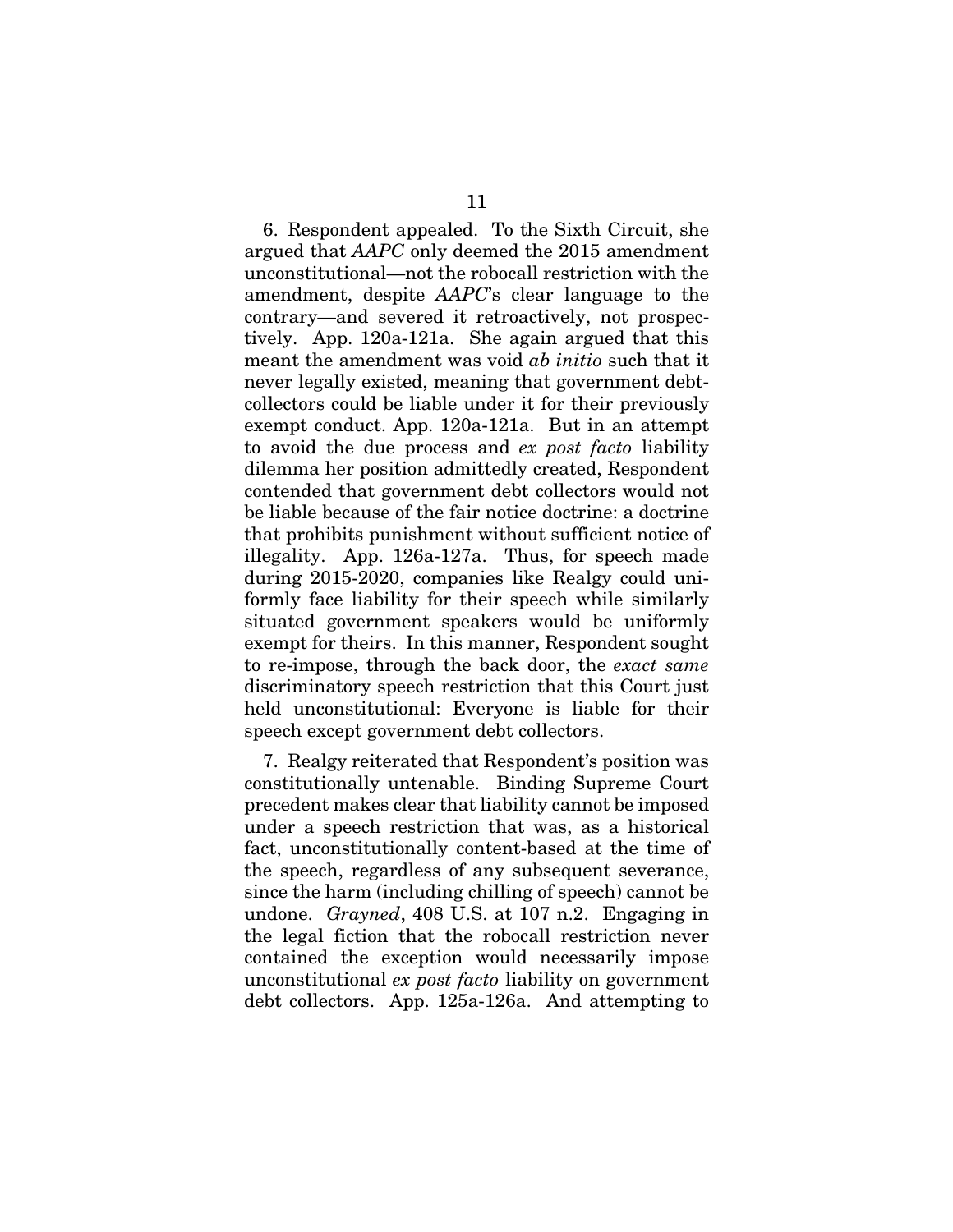6. Respondent appealed. To the Sixth Circuit, she argued that *AAPC* only deemed the 2015 amendment unconstitutional—not the robocall restriction with the amendment, despite *AAPC*'s clear language to the contrary—and severed it retroactively, not prospectively. App. 120a-121a. She again argued that this meant the amendment was void *ab initio* such that it never legally existed, meaning that government debtcollectors could be liable under it for their previously exempt conduct. App. 120a-121a. But in an attempt to avoid the due process and *ex post facto* liability dilemma her position admittedly created, Respondent contended that government debt collectors would not be liable because of the fair notice doctrine: a doctrine that prohibits punishment without sufficient notice of illegality. App. 126a-127a. Thus, for speech made during 2015-2020, companies like Realgy could uniformly face liability for their speech while similarly situated government speakers would be uniformly exempt for theirs. In this manner, Respondent sought to re-impose, through the back door, the *exact same* discriminatory speech restriction that this Court just held unconstitutional: Everyone is liable for their speech except government debt collectors.

7. Realgy reiterated that Respondent's position was constitutionally untenable. Binding Supreme Court precedent makes clear that liability cannot be imposed under a speech restriction that was, as a historical fact, unconstitutionally content-based at the time of the speech, regardless of any subsequent severance, since the harm (including chilling of speech) cannot be undone. *Grayned*, 408 U.S. at 107 n.2. Engaging in the legal fiction that the robocall restriction never contained the exception would necessarily impose unconstitutional *ex post facto* liability on government debt collectors. App. 125a-126a. And attempting to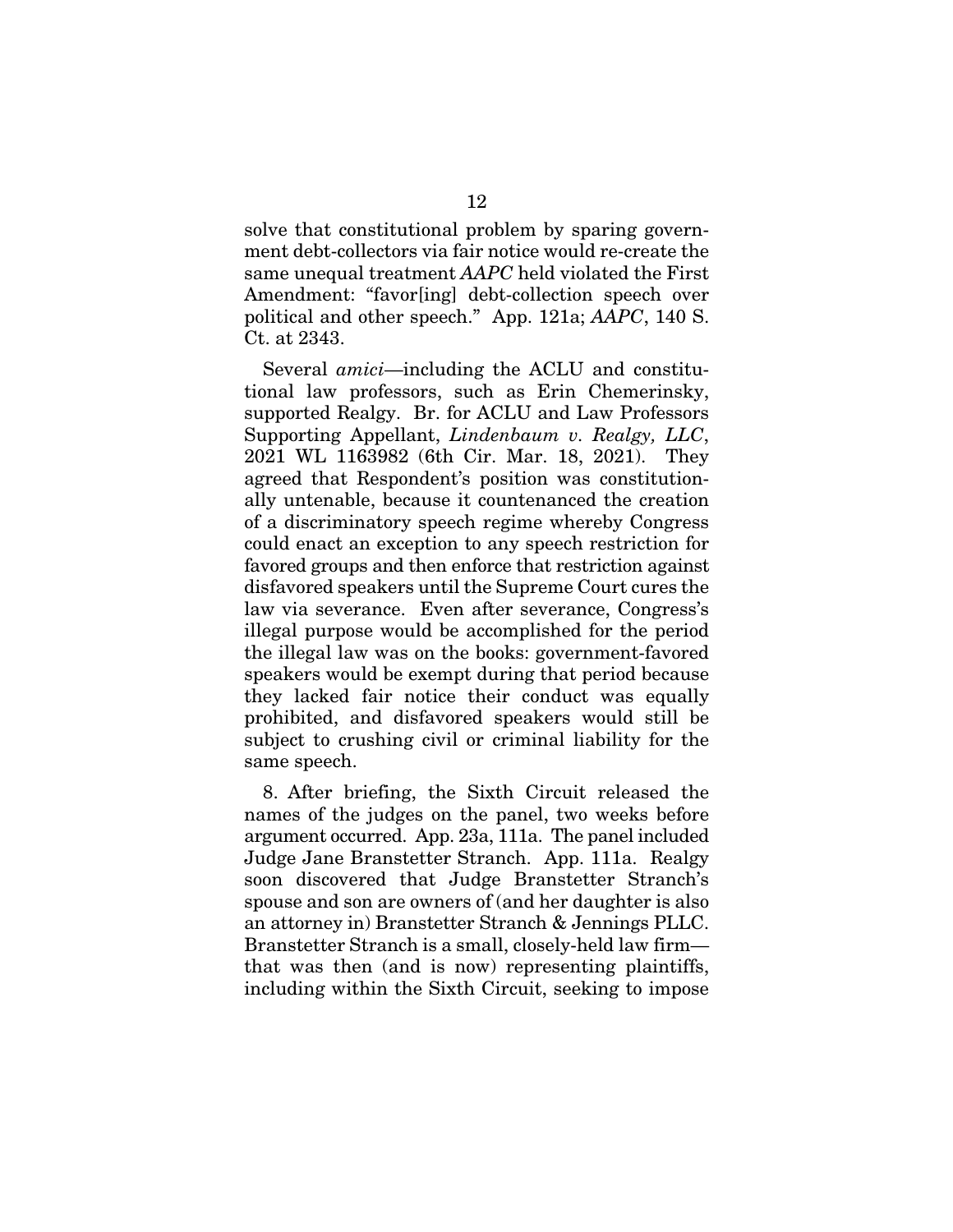solve that constitutional problem by sparing government debt-collectors via fair notice would re-create the same unequal treatment *AAPC* held violated the First Amendment: "favor[ing] debt-collection speech over political and other speech." App. 121a; *AAPC*, 140 S. Ct. at 2343.

Several *amici*—including the ACLU and constitutional law professors, such as Erin Chemerinsky, supported Realgy. Br. for ACLU and Law Professors Supporting Appellant, *Lindenbaum v. Realgy, LLC*, 2021 WL 1163982 (6th Cir. Mar. 18, 2021). They agreed that Respondent's position was constitutionally untenable, because it countenanced the creation of a discriminatory speech regime whereby Congress could enact an exception to any speech restriction for favored groups and then enforce that restriction against disfavored speakers until the Supreme Court cures the law via severance. Even after severance, Congress's illegal purpose would be accomplished for the period the illegal law was on the books: government-favored speakers would be exempt during that period because they lacked fair notice their conduct was equally prohibited, and disfavored speakers would still be subject to crushing civil or criminal liability for the same speech.

8. After briefing, the Sixth Circuit released the names of the judges on the panel, two weeks before argument occurred. App. 23a, 111a. The panel included Judge Jane Branstetter Stranch. App. 111a. Realgy soon discovered that Judge Branstetter Stranch's spouse and son are owners of (and her daughter is also an attorney in) Branstetter Stranch & Jennings PLLC. Branstetter Stranch is a small, closely-held law firm that was then (and is now) representing plaintiffs, including within the Sixth Circuit, seeking to impose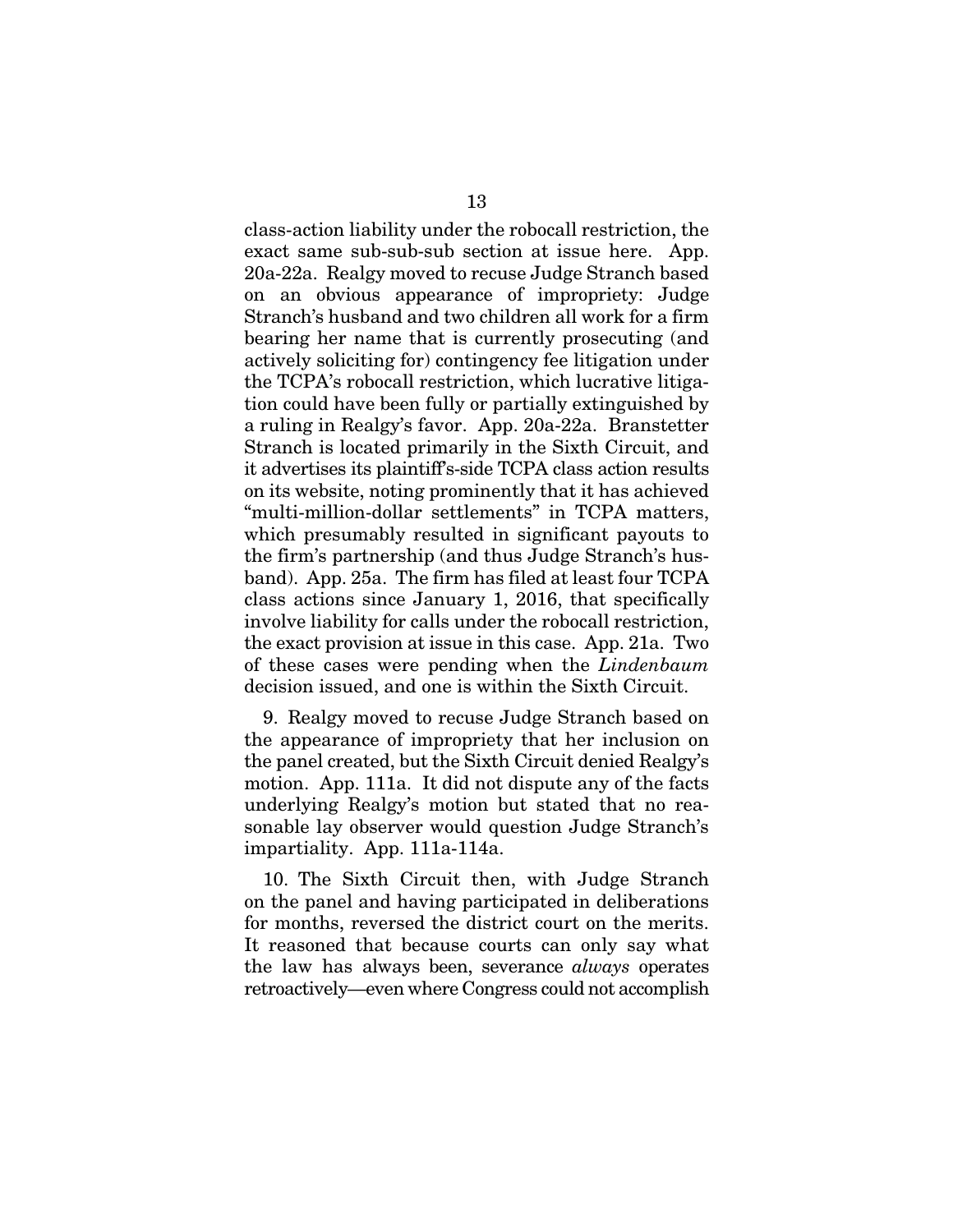class-action liability under the robocall restriction, the exact same sub-sub-sub section at issue here. App. 20a-22a. Realgy moved to recuse Judge Stranch based on an obvious appearance of impropriety: Judge Stranch's husband and two children all work for a firm bearing her name that is currently prosecuting (and actively soliciting for) contingency fee litigation under the TCPA's robocall restriction, which lucrative litigation could have been fully or partially extinguished by a ruling in Realgy's favor. App. 20a-22a. Branstetter Stranch is located primarily in the Sixth Circuit, and it advertises its plaintiff's-side TCPA class action results on its website, noting prominently that it has achieved "multi-million-dollar settlements" in TCPA matters, which presumably resulted in significant payouts to the firm's partnership (and thus Judge Stranch's husband). App. 25a. The firm has filed at least four TCPA class actions since January 1, 2016, that specifically involve liability for calls under the robocall restriction, the exact provision at issue in this case. App. 21a. Two of these cases were pending when the *Lindenbaum*  decision issued, and one is within the Sixth Circuit.

9. Realgy moved to recuse Judge Stranch based on the appearance of impropriety that her inclusion on the panel created, but the Sixth Circuit denied Realgy's motion. App. 111a. It did not dispute any of the facts underlying Realgy's motion but stated that no reasonable lay observer would question Judge Stranch's impartiality. App. 111a-114a.

10. The Sixth Circuit then, with Judge Stranch on the panel and having participated in deliberations for months, reversed the district court on the merits. It reasoned that because courts can only say what the law has always been, severance *always* operates retroactively—even where Congress could not accomplish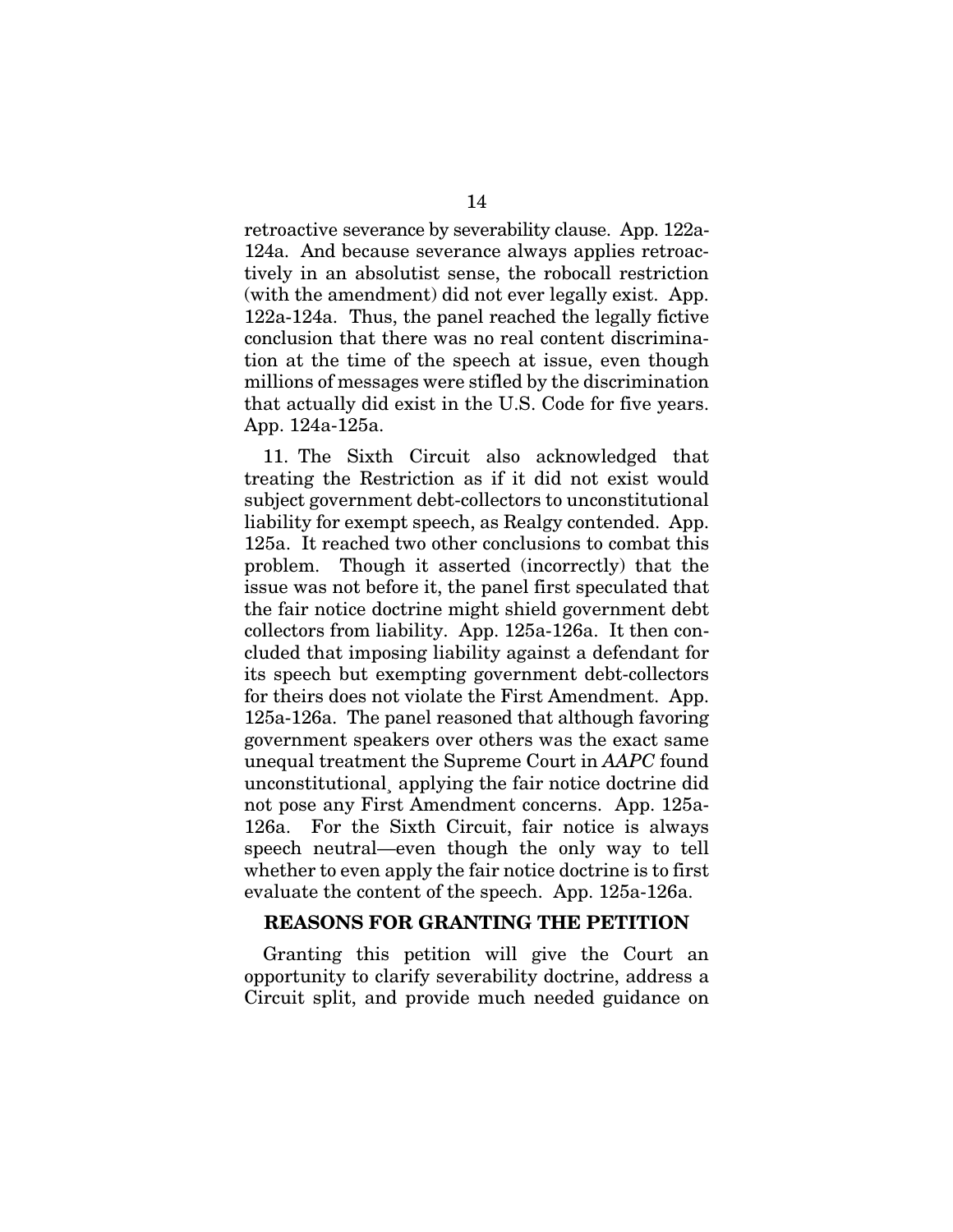retroactive severance by severability clause. App. 122a-124a. And because severance always applies retroactively in an absolutist sense, the robocall restriction (with the amendment) did not ever legally exist. App. 122a-124a. Thus, the panel reached the legally fictive conclusion that there was no real content discrimination at the time of the speech at issue, even though millions of messages were stifled by the discrimination that actually did exist in the U.S. Code for five years. App. 124a-125a.

11. The Sixth Circuit also acknowledged that treating the Restriction as if it did not exist would subject government debt-collectors to unconstitutional liability for exempt speech, as Realgy contended. App. 125a. It reached two other conclusions to combat this problem. Though it asserted (incorrectly) that the issue was not before it, the panel first speculated that the fair notice doctrine might shield government debt collectors from liability. App. 125a-126a. It then concluded that imposing liability against a defendant for its speech but exempting government debt-collectors for theirs does not violate the First Amendment. App. 125a-126a. The panel reasoned that although favoring government speakers over others was the exact same unequal treatment the Supreme Court in *AAPC* found unconstitutional¸ applying the fair notice doctrine did not pose any First Amendment concerns. App. 125a-126a. For the Sixth Circuit, fair notice is always speech neutral—even though the only way to tell whether to even apply the fair notice doctrine is to first evaluate the content of the speech. App. 125a-126a.

## REASONS FOR GRANTING THE PETITION

Granting this petition will give the Court an opportunity to clarify severability doctrine, address a Circuit split, and provide much needed guidance on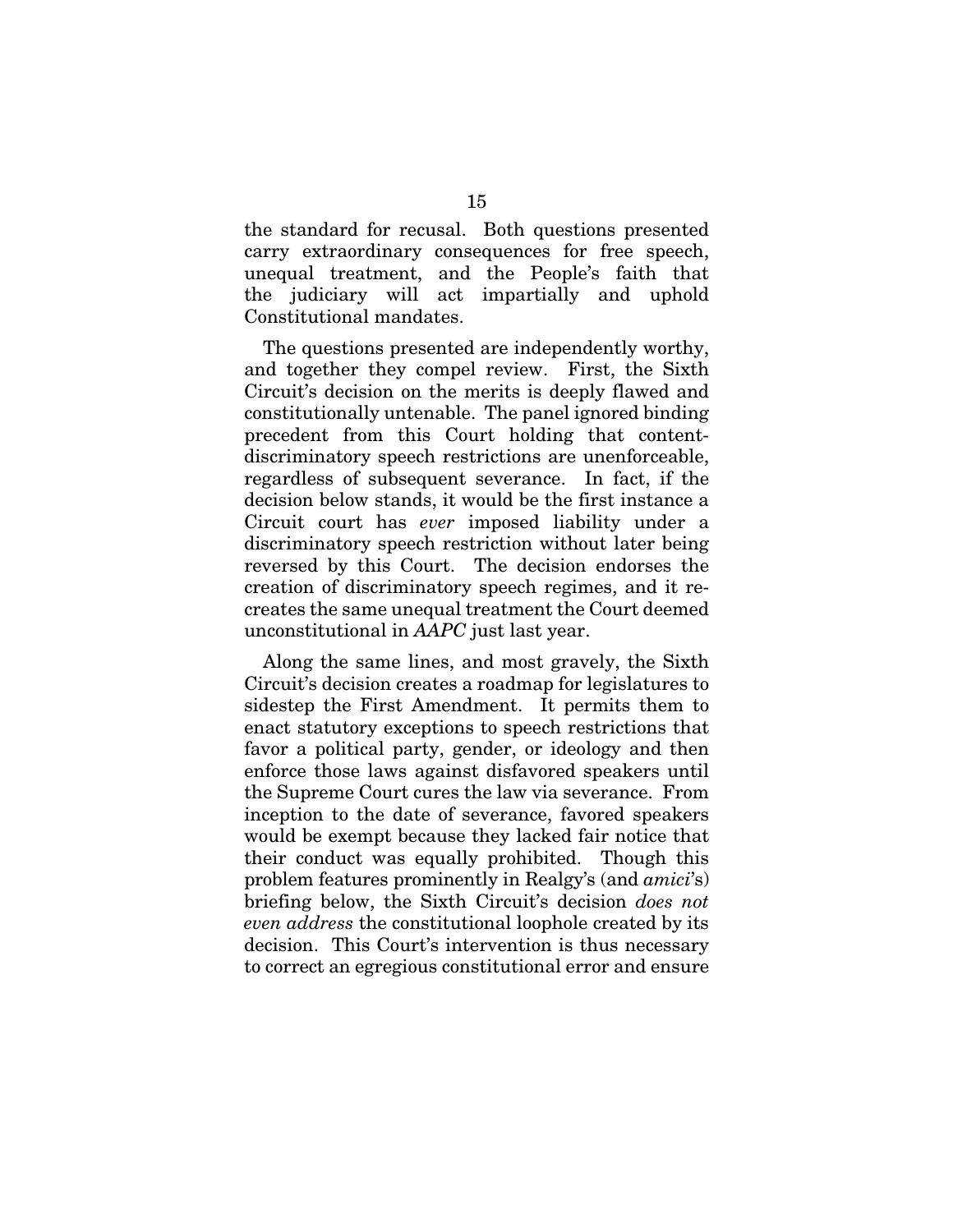the standard for recusal. Both questions presented carry extraordinary consequences for free speech, unequal treatment, and the People's faith that the judiciary will act impartially and uphold Constitutional mandates.

The questions presented are independently worthy, and together they compel review. First, the Sixth Circuit's decision on the merits is deeply flawed and constitutionally untenable. The panel ignored binding precedent from this Court holding that contentdiscriminatory speech restrictions are unenforceable, regardless of subsequent severance. In fact, if the decision below stands, it would be the first instance a Circuit court has *ever* imposed liability under a discriminatory speech restriction without later being reversed by this Court. The decision endorses the creation of discriminatory speech regimes, and it recreates the same unequal treatment the Court deemed unconstitutional in *AAPC* just last year.

Along the same lines, and most gravely, the Sixth Circuit's decision creates a roadmap for legislatures to sidestep the First Amendment. It permits them to enact statutory exceptions to speech restrictions that favor a political party, gender, or ideology and then enforce those laws against disfavored speakers until the Supreme Court cures the law via severance. From inception to the date of severance, favored speakers would be exempt because they lacked fair notice that their conduct was equally prohibited. Though this problem features prominently in Realgy's (and *amici*'s) briefing below, the Sixth Circuit's decision *does not even address* the constitutional loophole created by its decision. This Court's intervention is thus necessary to correct an egregious constitutional error and ensure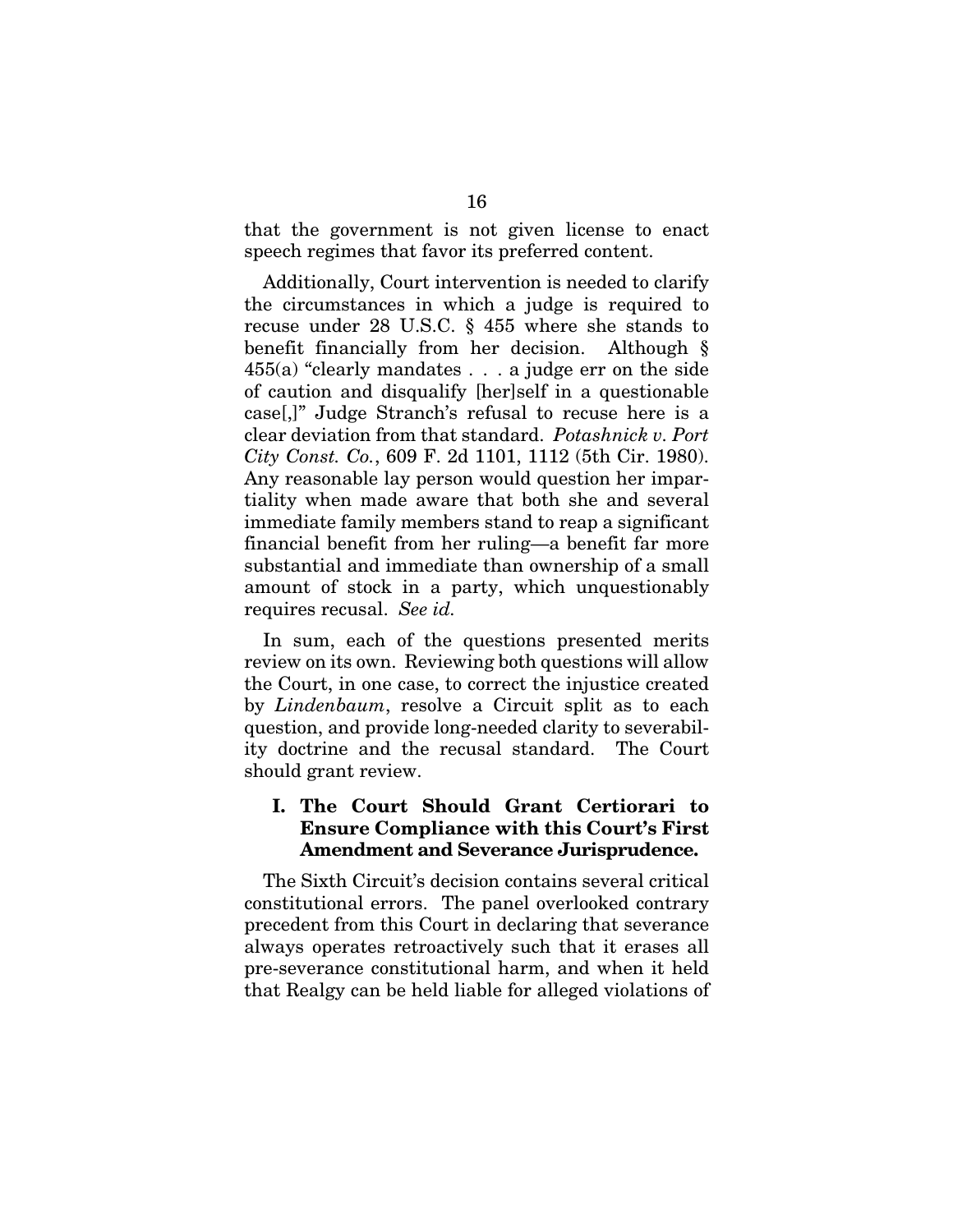that the government is not given license to enact speech regimes that favor its preferred content.

Additionally, Court intervention is needed to clarify the circumstances in which a judge is required to recuse under 28 U.S.C. § 455 where she stands to benefit financially from her decision. Although § 455(a) "clearly mandates . . . a judge err on the side of caution and disqualify [her]self in a questionable case[,]" Judge Stranch's refusal to recuse here is a clear deviation from that standard. *Potashnick v. Port City Const. Co.*, 609 F. 2d 1101, 1112 (5th Cir. 1980). Any reasonable lay person would question her impartiality when made aware that both she and several immediate family members stand to reap a significant financial benefit from her ruling—a benefit far more substantial and immediate than ownership of a small amount of stock in a party, which unquestionably requires recusal. *See id.* 

In sum, each of the questions presented merits review on its own. Reviewing both questions will allow the Court, in one case, to correct the injustice created by *Lindenbaum*, resolve a Circuit split as to each question, and provide long-needed clarity to severability doctrine and the recusal standard. The Court should grant review.

# I. The Court Should Grant Certiorari to Ensure Compliance with this Court's First Amendment and Severance Jurisprudence.

The Sixth Circuit's decision contains several critical constitutional errors. The panel overlooked contrary precedent from this Court in declaring that severance always operates retroactively such that it erases all pre-severance constitutional harm, and when it held that Realgy can be held liable for alleged violations of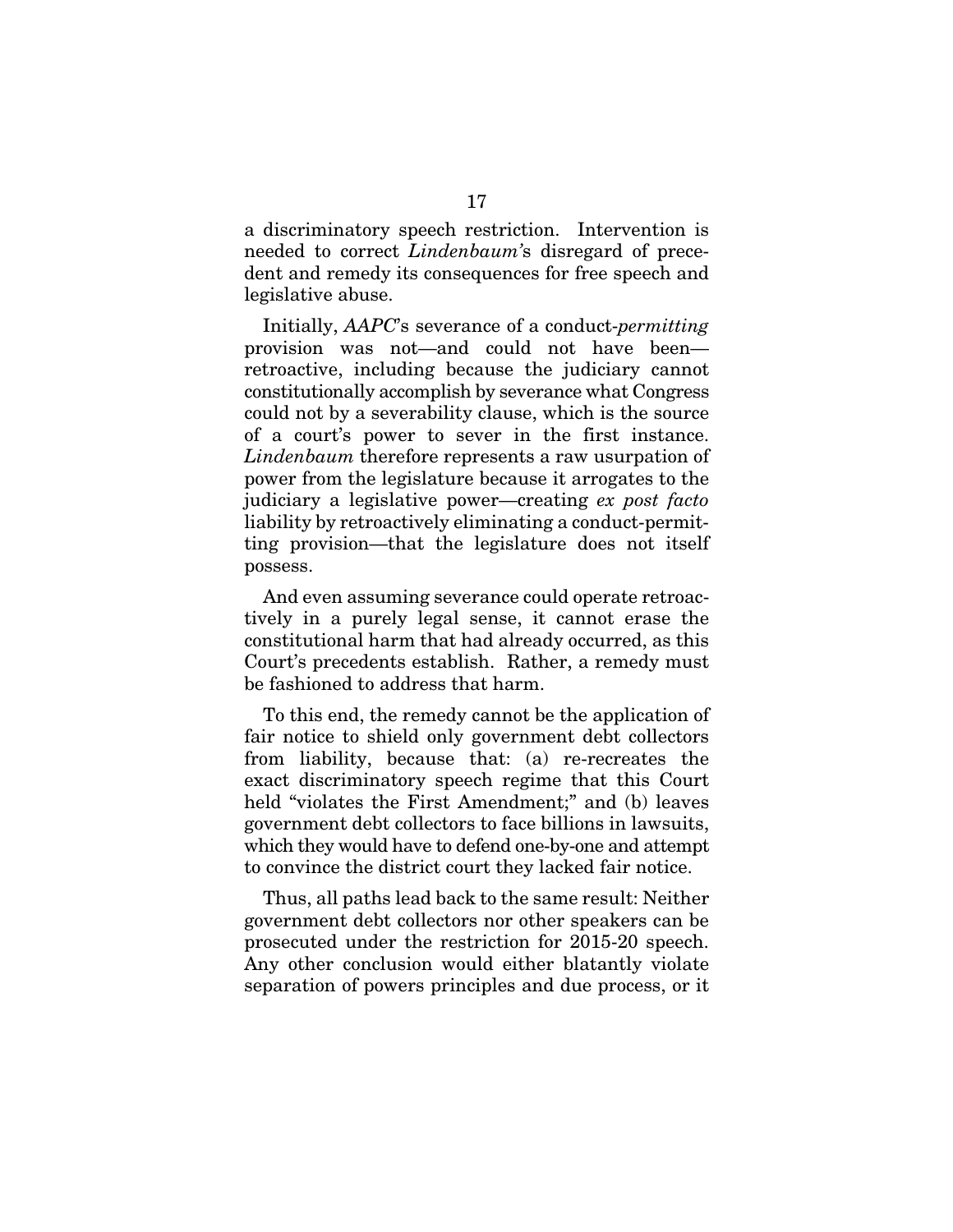a discriminatory speech restriction. Intervention is needed to correct *Lindenbaum'*s disregard of precedent and remedy its consequences for free speech and legislative abuse.

Initially, *AAPC*'s severance of a conduct-*permitting*  provision was not—and could not have been retroactive, including because the judiciary cannot constitutionally accomplish by severance what Congress could not by a severability clause, which is the source of a court's power to sever in the first instance. *Lindenbaum* therefore represents a raw usurpation of power from the legislature because it arrogates to the judiciary a legislative power—creating *ex post facto* liability by retroactively eliminating a conduct-permitting provision—that the legislature does not itself possess.

And even assuming severance could operate retroactively in a purely legal sense, it cannot erase the constitutional harm that had already occurred, as this Court's precedents establish. Rather, a remedy must be fashioned to address that harm.

To this end, the remedy cannot be the application of fair notice to shield only government debt collectors from liability, because that: (a) re-recreates the exact discriminatory speech regime that this Court held "violates the First Amendment;" and (b) leaves government debt collectors to face billions in lawsuits, which they would have to defend one-by-one and attempt to convince the district court they lacked fair notice.

Thus, all paths lead back to the same result: Neither government debt collectors nor other speakers can be prosecuted under the restriction for 2015-20 speech. Any other conclusion would either blatantly violate separation of powers principles and due process, or it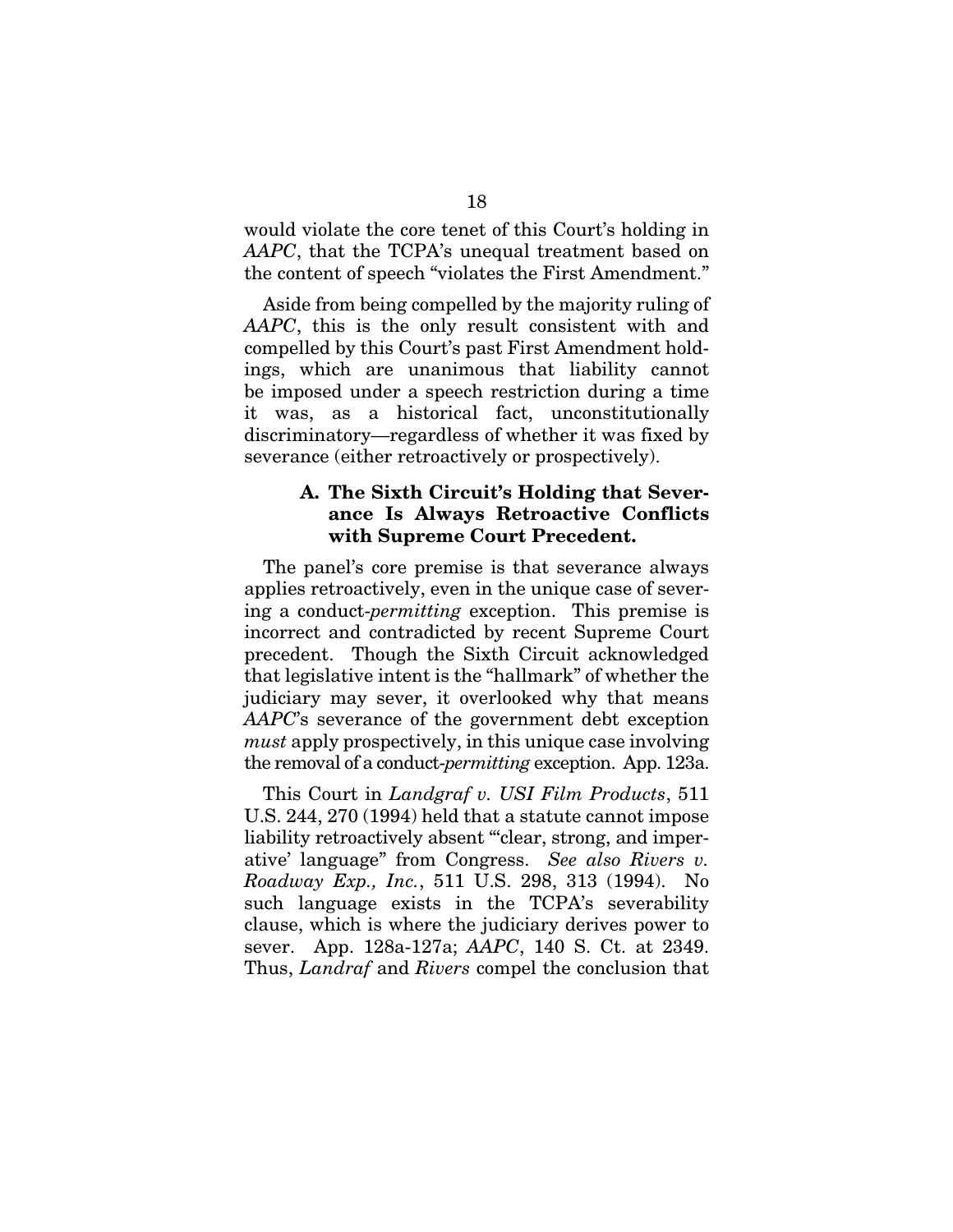would violate the core tenet of this Court's holding in *AAPC*, that the TCPA's unequal treatment based on the content of speech "violates the First Amendment."

Aside from being compelled by the majority ruling of *AAPC*, this is the only result consistent with and compelled by this Court's past First Amendment holdings, which are unanimous that liability cannot be imposed under a speech restriction during a time it was, as a historical fact, unconstitutionally discriminatory—regardless of whether it was fixed by severance (either retroactively or prospectively).

## A. The Sixth Circuit's Holding that Severance Is Always Retroactive Conflicts with Supreme Court Precedent.

The panel's core premise is that severance always applies retroactively, even in the unique case of severing a conduct-*permitting* exception. This premise is incorrect and contradicted by recent Supreme Court precedent. Though the Sixth Circuit acknowledged that legislative intent is the "hallmark" of whether the judiciary may sever, it overlooked why that means *AAPC*'s severance of the government debt exception *must* apply prospectively, in this unique case involving the removal of a conduct-*permitting* exception. App. 123a.

This Court in *Landgraf v. USI Film Products*, 511 U.S. 244, 270 (1994) held that a statute cannot impose liability retroactively absent "clear, strong, and imperative' language" from Congress. *See also Rivers v. Roadway Exp., Inc.*, 511 U.S. 298, 313 (1994). No such language exists in the TCPA's severability clause, which is where the judiciary derives power to sever. App. 128a-127a; *AAPC*, 140 S. Ct. at 2349. Thus, *Landraf* and *Rivers* compel the conclusion that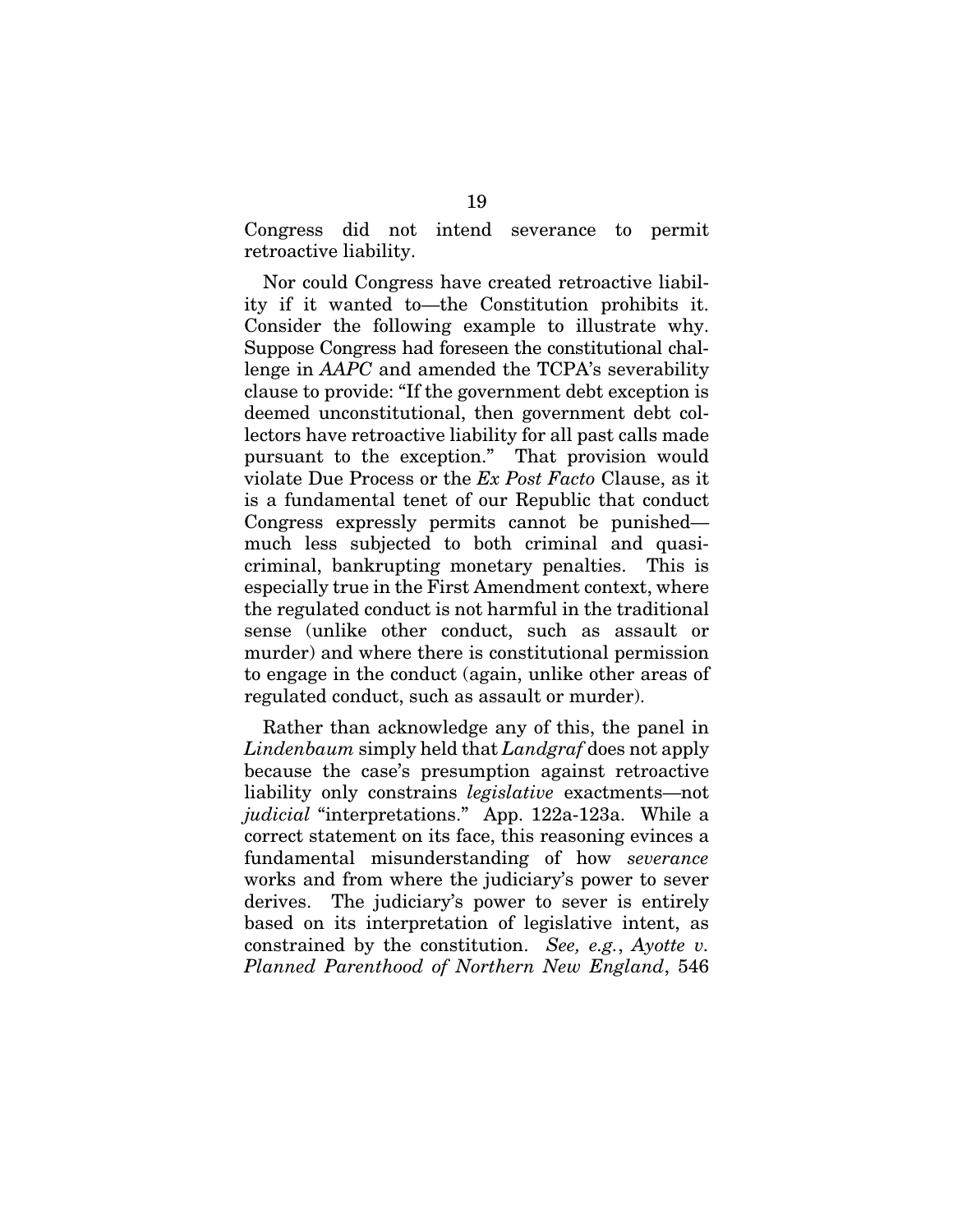Congress did not intend severance to permit retroactive liability.

Nor could Congress have created retroactive liability if it wanted to—the Constitution prohibits it. Consider the following example to illustrate why. Suppose Congress had foreseen the constitutional challenge in *AAPC* and amended the TCPA's severability clause to provide: "If the government debt exception is deemed unconstitutional, then government debt collectors have retroactive liability for all past calls made pursuant to the exception." That provision would violate Due Process or the *Ex Post Facto* Clause, as it is a fundamental tenet of our Republic that conduct Congress expressly permits cannot be punished much less subjected to both criminal and quasicriminal, bankrupting monetary penalties. This is especially true in the First Amendment context, where the regulated conduct is not harmful in the traditional sense (unlike other conduct, such as assault or murder) and where there is constitutional permission to engage in the conduct (again, unlike other areas of regulated conduct, such as assault or murder).

Rather than acknowledge any of this, the panel in *Lindenbaum* simply held that *Landgraf* does not apply because the case's presumption against retroactive liability only constrains *legislative* exactments—not *judicial* "interpretations." App. 122a-123a. While a correct statement on its face, this reasoning evinces a fundamental misunderstanding of how *severance* works and from where the judiciary's power to sever derives. The judiciary's power to sever is entirely based on its interpretation of legislative intent, as constrained by the constitution. *See, e.g.*, *Ayotte v. Planned Parenthood of Northern New England*, 546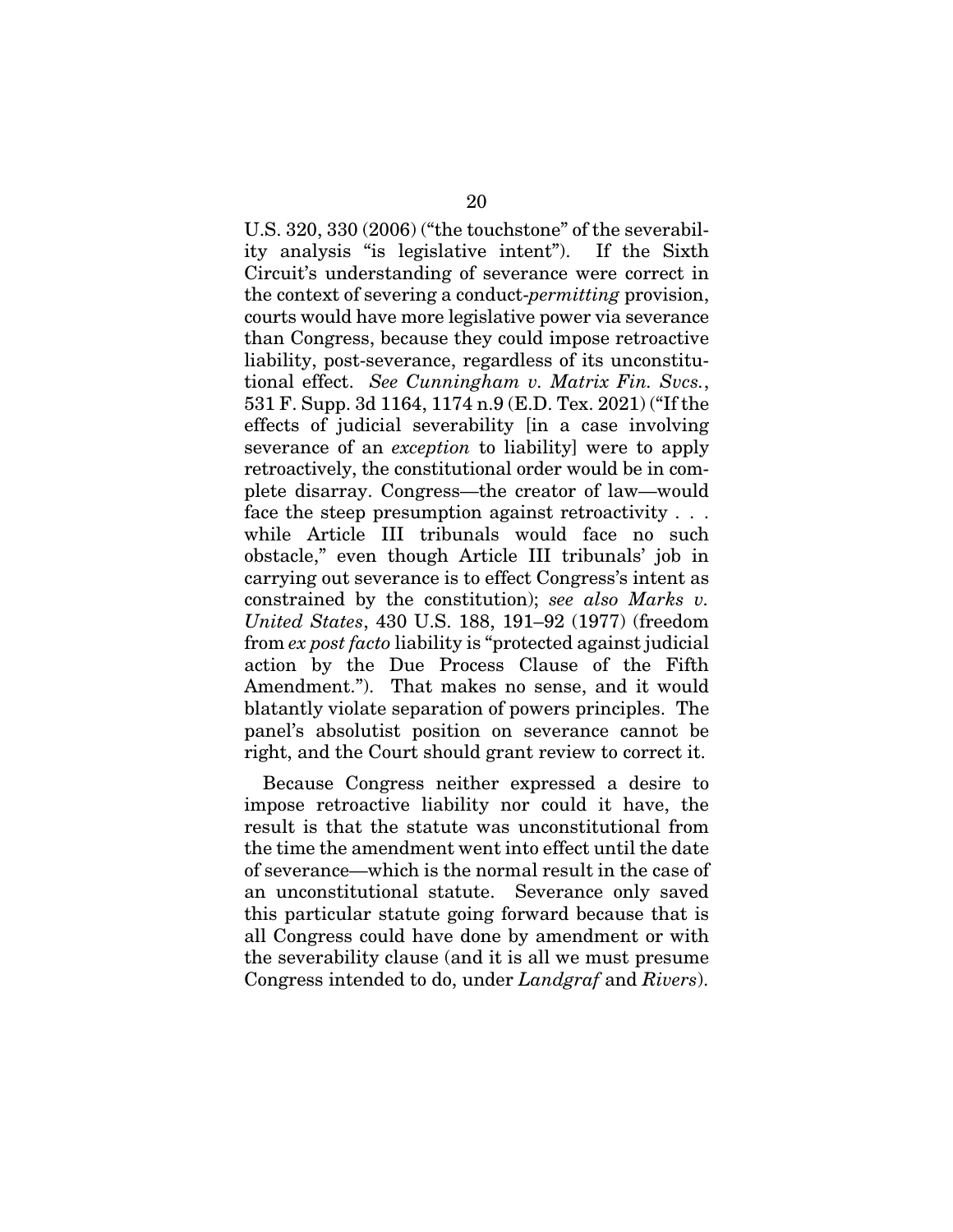U.S. 320, 330 (2006) ("the touchstone" of the severability analysis "is legislative intent"). If the Sixth Circuit's understanding of severance were correct in the context of severing a conduct-*permitting* provision, courts would have more legislative power via severance than Congress, because they could impose retroactive liability, post-severance, regardless of its unconstitutional effect. *See Cunningham v. Matrix Fin. Svcs.*, 531 F. Supp. 3d 1164, 1174 n.9 (E.D. Tex. 2021) ("If the effects of judicial severability [in a case involving severance of an *exception* to liability] were to apply retroactively, the constitutional order would be in complete disarray. Congress—the creator of law—would face the steep presumption against retroactivity . . . while Article III tribunals would face no such obstacle," even though Article III tribunals' job in carrying out severance is to effect Congress's intent as constrained by the constitution); *see also Marks v. United States*, 430 U.S. 188, 191–92 (1977) (freedom from *ex post facto* liability is "protected against judicial action by the Due Process Clause of the Fifth Amendment."). That makes no sense, and it would blatantly violate separation of powers principles. The panel's absolutist position on severance cannot be right, and the Court should grant review to correct it.

Because Congress neither expressed a desire to impose retroactive liability nor could it have, the result is that the statute was unconstitutional from the time the amendment went into effect until the date of severance—which is the normal result in the case of an unconstitutional statute. Severance only saved this particular statute going forward because that is all Congress could have done by amendment or with the severability clause (and it is all we must presume Congress intended to do, under *Landgraf* and *Rivers*).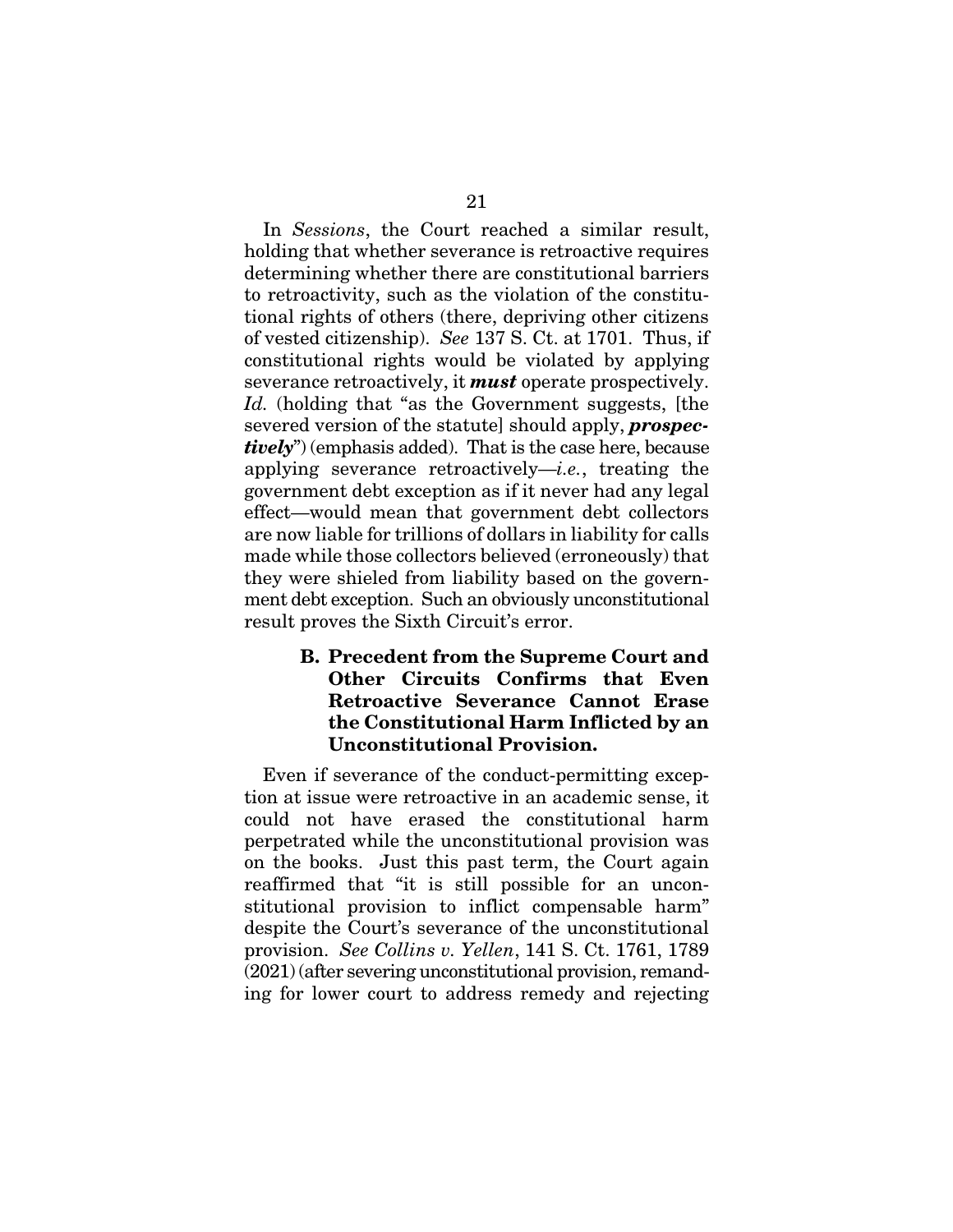In *Sessions*, the Court reached a similar result, holding that whether severance is retroactive requires determining whether there are constitutional barriers to retroactivity, such as the violation of the constitutional rights of others (there, depriving other citizens of vested citizenship). *See* 137 S. Ct. at 1701. Thus, if constitutional rights would be violated by applying severance retroactively, it *must* operate prospectively. Id. (holding that "as the Government suggests, [the severed version of the statute] should apply, *prospectively*") (emphasis added). That is the case here, because applying severance retroactively—*i.e.*, treating the government debt exception as if it never had any legal effect—would mean that government debt collectors are now liable for trillions of dollars in liability for calls made while those collectors believed (erroneously) that they were shieled from liability based on the government debt exception. Such an obviously unconstitutional result proves the Sixth Circuit's error.

# B. Precedent from the Supreme Court and Other Circuits Confirms that Even Retroactive Severance Cannot Erase the Constitutional Harm Inflicted by an Unconstitutional Provision.

Even if severance of the conduct-permitting exception at issue were retroactive in an academic sense, it could not have erased the constitutional harm perpetrated while the unconstitutional provision was on the books. Just this past term, the Court again reaffirmed that "it is still possible for an unconstitutional provision to inflict compensable harm" despite the Court's severance of the unconstitutional provision. *See Collins v. Yellen*, 141 S. Ct. 1761, 1789 (2021) (after severing unconstitutional provision, remanding for lower court to address remedy and rejecting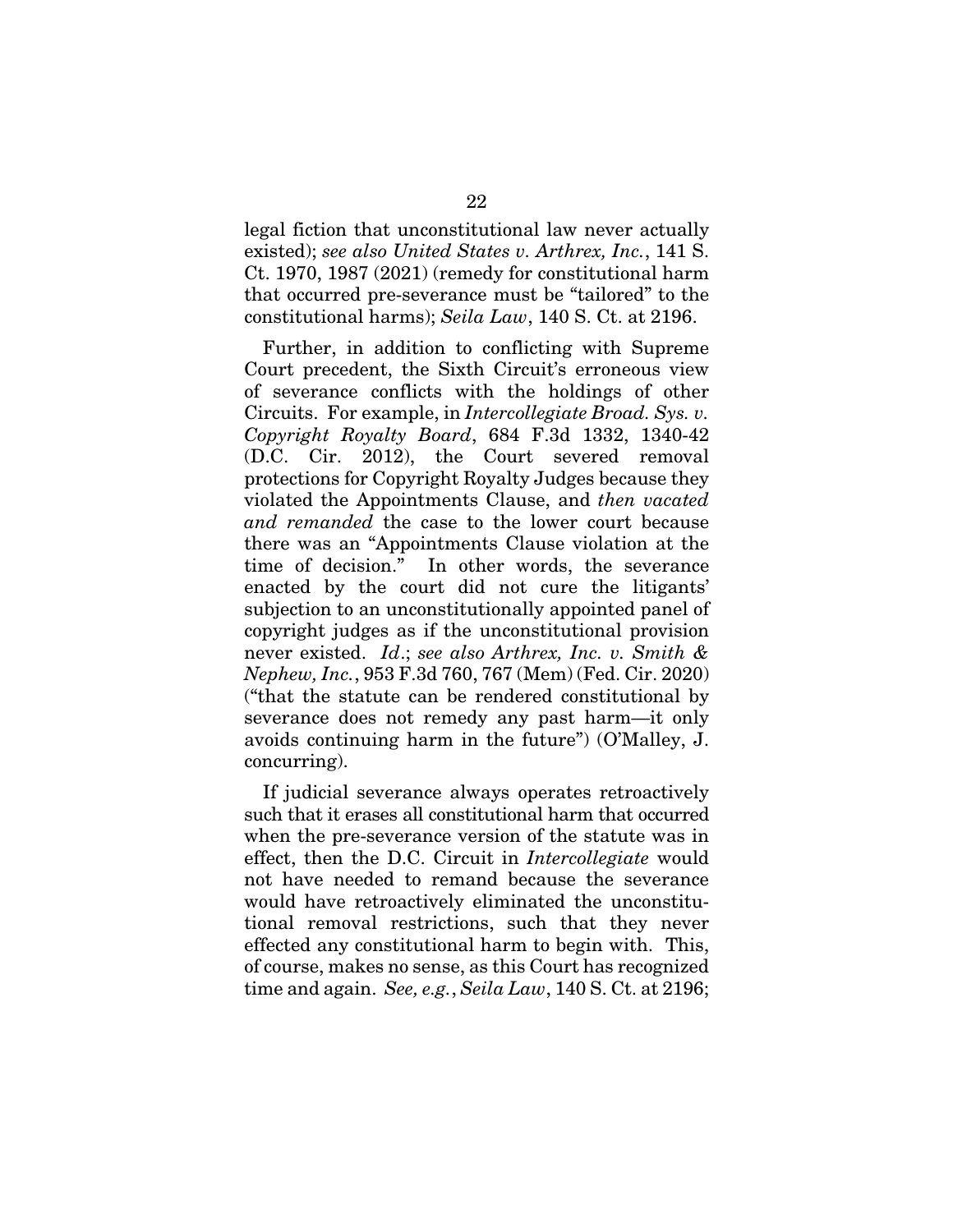legal fiction that unconstitutional law never actually existed); *see also United States v. Arthrex, Inc.*, 141 S. Ct. 1970, 1987 (2021) (remedy for constitutional harm that occurred pre-severance must be "tailored" to the constitutional harms); *Seila Law*, 140 S. Ct. at 2196.

Further, in addition to conflicting with Supreme Court precedent, the Sixth Circuit's erroneous view of severance conflicts with the holdings of other Circuits. For example, in *Intercollegiate Broad. Sys. v. Copyright Royalty Board*, 684 F.3d 1332, 1340-42 (D.C. Cir. 2012), the Court severed removal protections for Copyright Royalty Judges because they violated the Appointments Clause, and *then vacated and remanded* the case to the lower court because there was an "Appointments Clause violation at the time of decision." In other words, the severance enacted by the court did not cure the litigants' subjection to an unconstitutionally appointed panel of copyright judges as if the unconstitutional provision never existed. *Id*.; *see also Arthrex, Inc. v. Smith & Nephew, Inc.*, 953 F.3d 760, 767 (Mem) (Fed. Cir. 2020) ("that the statute can be rendered constitutional by severance does not remedy any past harm—it only avoids continuing harm in the future") (O'Malley, J. concurring).

If judicial severance always operates retroactively such that it erases all constitutional harm that occurred when the pre-severance version of the statute was in effect, then the D.C. Circuit in *Intercollegiate* would not have needed to remand because the severance would have retroactively eliminated the unconstitutional removal restrictions, such that they never effected any constitutional harm to begin with. This, of course, makes no sense, as this Court has recognized time and again. *See, e.g.*, *Seila Law*, 140 S. Ct. at 2196;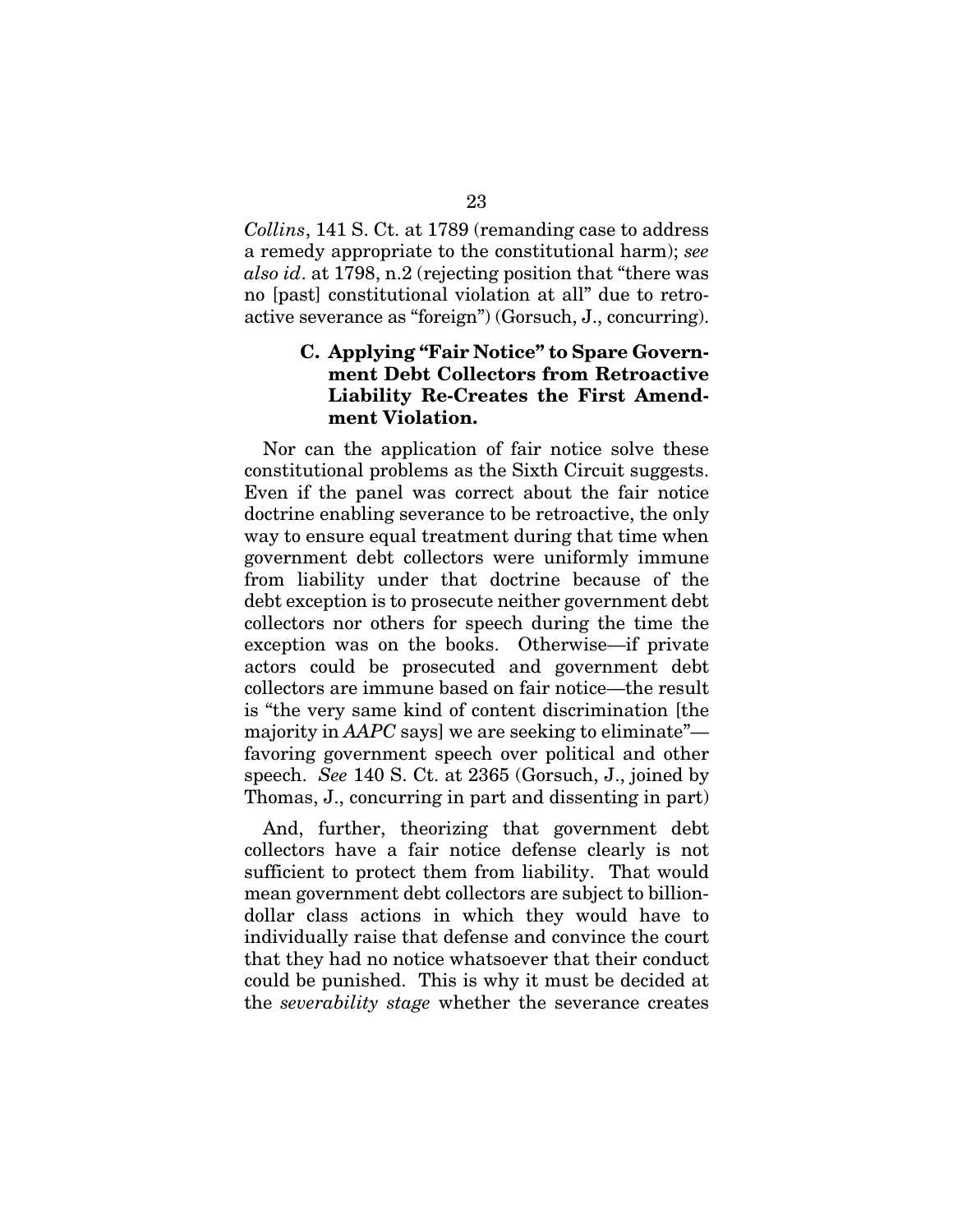*Collins*, 141 S. Ct. at 1789 (remanding case to address a remedy appropriate to the constitutional harm); *see also id*. at 1798, n.2 (rejecting position that "there was no [past] constitutional violation at all" due to retroactive severance as "foreign") (Gorsuch, J., concurring).

## C. Applying "Fair Notice" to Spare Government Debt Collectors from Retroactive Liability Re-Creates the First Amendment Violation.

Nor can the application of fair notice solve these constitutional problems as the Sixth Circuit suggests. Even if the panel was correct about the fair notice doctrine enabling severance to be retroactive, the only way to ensure equal treatment during that time when government debt collectors were uniformly immune from liability under that doctrine because of the debt exception is to prosecute neither government debt collectors nor others for speech during the time the exception was on the books. Otherwise—if private actors could be prosecuted and government debt collectors are immune based on fair notice—the result is "the very same kind of content discrimination [the majority in *AAPC* says] we are seeking to eliminate" favoring government speech over political and other speech. *See* 140 S. Ct. at 2365 (Gorsuch, J., joined by Thomas, J., concurring in part and dissenting in part)

And, further, theorizing that government debt collectors have a fair notice defense clearly is not sufficient to protect them from liability. That would mean government debt collectors are subject to billiondollar class actions in which they would have to individually raise that defense and convince the court that they had no notice whatsoever that their conduct could be punished. This is why it must be decided at the *severability stage* whether the severance creates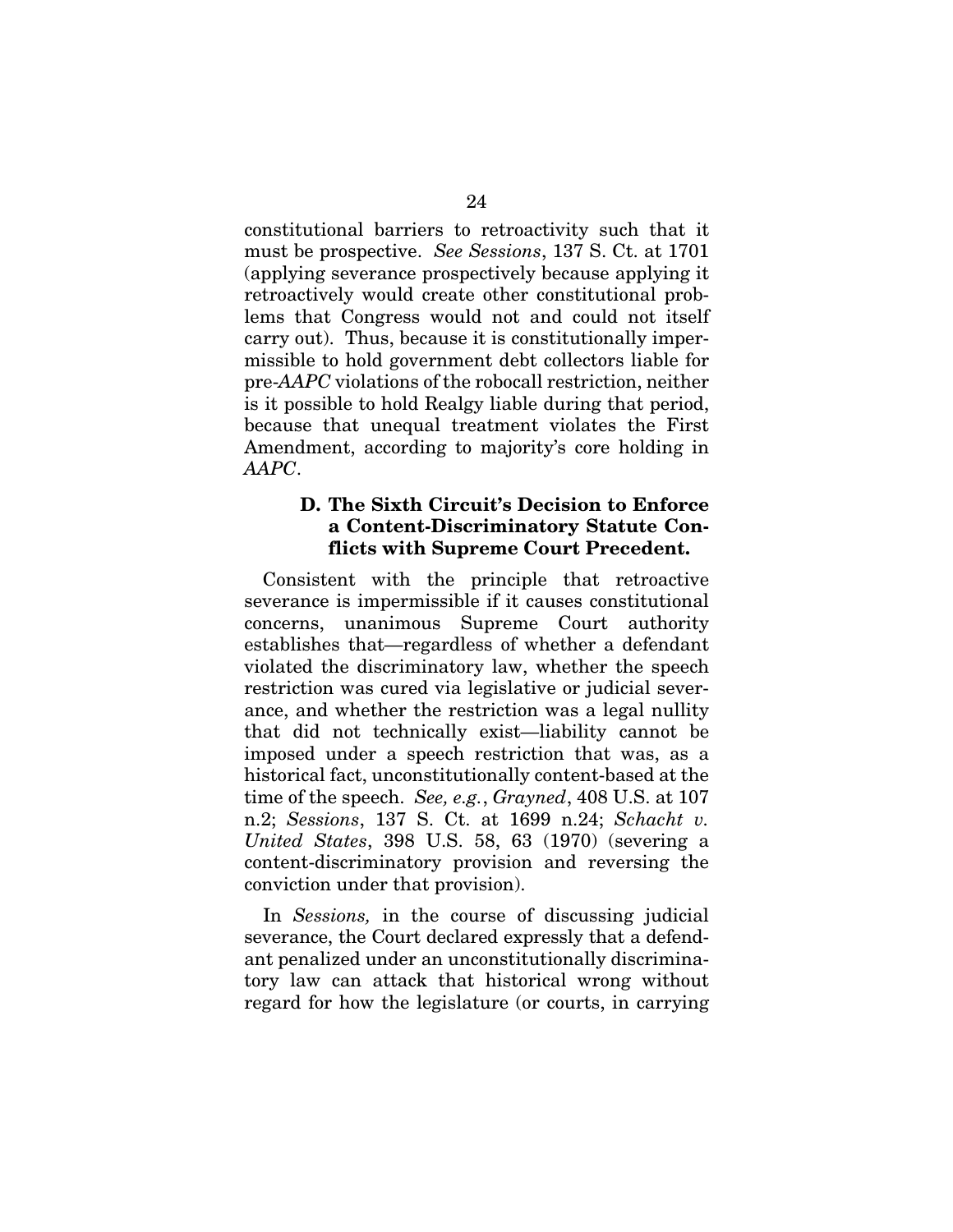constitutional barriers to retroactivity such that it must be prospective. *See Sessions*, 137 S. Ct. at 1701 (applying severance prospectively because applying it retroactively would create other constitutional problems that Congress would not and could not itself carry out). Thus, because it is constitutionally impermissible to hold government debt collectors liable for pre-*AAPC* violations of the robocall restriction, neither is it possible to hold Realgy liable during that period, because that unequal treatment violates the First Amendment, according to majority's core holding in *AAPC*.

# D. The Sixth Circuit's Decision to Enforce a Content-Discriminatory Statute Conflicts with Supreme Court Precedent.

Consistent with the principle that retroactive severance is impermissible if it causes constitutional concerns, unanimous Supreme Court authority establishes that—regardless of whether a defendant violated the discriminatory law, whether the speech restriction was cured via legislative or judicial severance, and whether the restriction was a legal nullity that did not technically exist—liability cannot be imposed under a speech restriction that was, as a historical fact, unconstitutionally content-based at the time of the speech. *See, e.g.*, *Grayned*, 408 U.S. at 107 n.2; *Sessions*, 137 S. Ct. at 1699 n.24; *Schacht v. United States*, 398 U.S. 58, 63 (1970) (severing a content-discriminatory provision and reversing the conviction under that provision).

In *Sessions,* in the course of discussing judicial severance, the Court declared expressly that a defendant penalized under an unconstitutionally discriminatory law can attack that historical wrong without regard for how the legislature (or courts, in carrying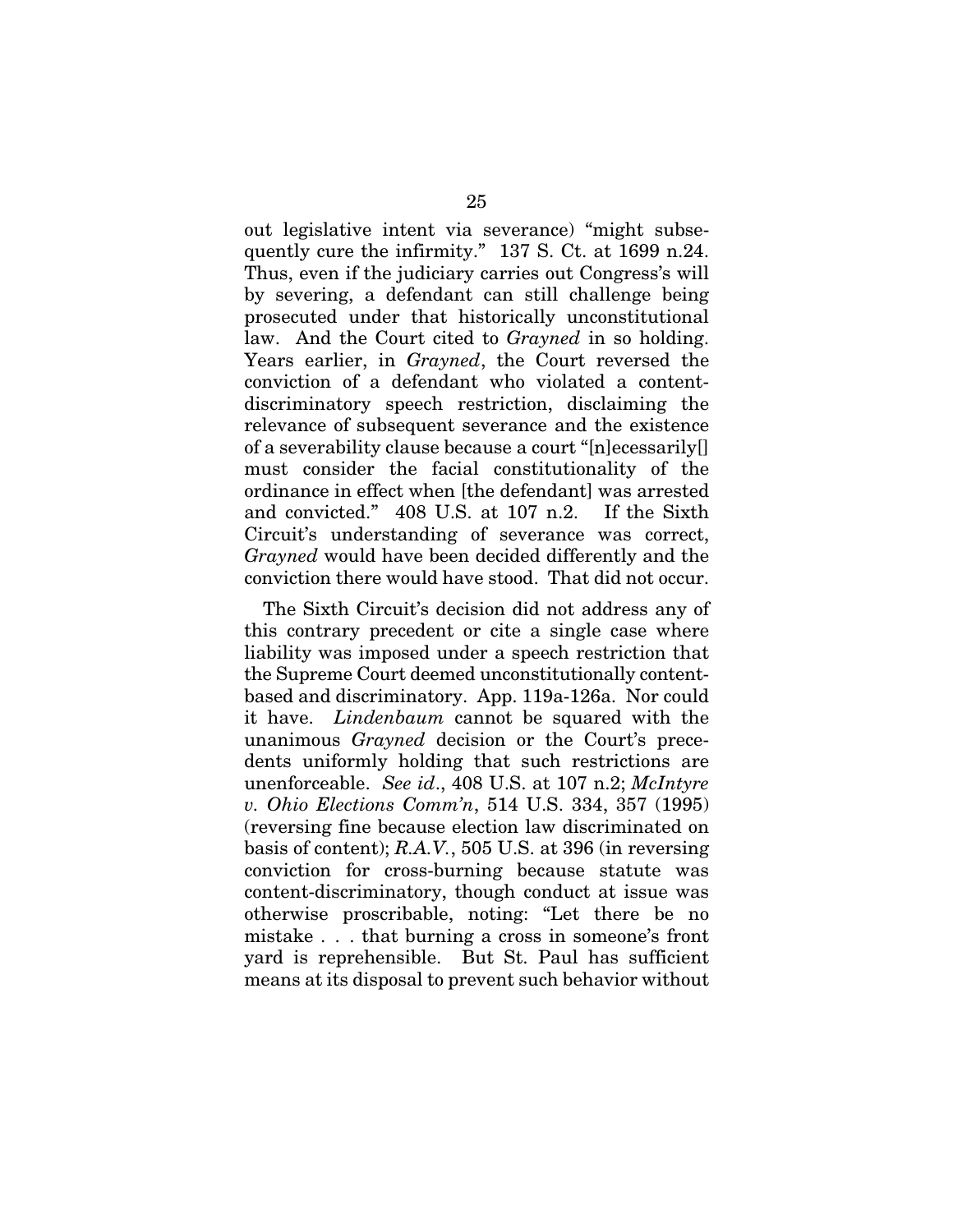out legislative intent via severance) "might subsequently cure the infirmity." 137 S. Ct. at 1699 n.24. Thus, even if the judiciary carries out Congress's will by severing, a defendant can still challenge being prosecuted under that historically unconstitutional law. And the Court cited to *Grayned* in so holding. Years earlier, in *Grayned*, the Court reversed the conviction of a defendant who violated a contentdiscriminatory speech restriction, disclaiming the relevance of subsequent severance and the existence of a severability clause because a court "[n]ecessarily[] must consider the facial constitutionality of the ordinance in effect when [the defendant] was arrested and convicted." 408 U.S. at 107 n.2. If the Sixth Circuit's understanding of severance was correct, *Grayned* would have been decided differently and the conviction there would have stood. That did not occur.

The Sixth Circuit's decision did not address any of this contrary precedent or cite a single case where liability was imposed under a speech restriction that the Supreme Court deemed unconstitutionally contentbased and discriminatory. App. 119a-126a. Nor could it have. *Lindenbaum* cannot be squared with the unanimous *Grayned* decision or the Court's precedents uniformly holding that such restrictions are unenforceable. *See id*., 408 U.S. at 107 n.2; *McIntyre v. Ohio Elections Comm'n*, 514 U.S. 334, 357 (1995) (reversing fine because election law discriminated on basis of content); *R.A.V.*, 505 U.S. at 396 (in reversing conviction for cross-burning because statute was content-discriminatory, though conduct at issue was otherwise proscribable, noting: "Let there be no mistake . . . that burning a cross in someone's front yard is reprehensible. But St. Paul has sufficient means at its disposal to prevent such behavior without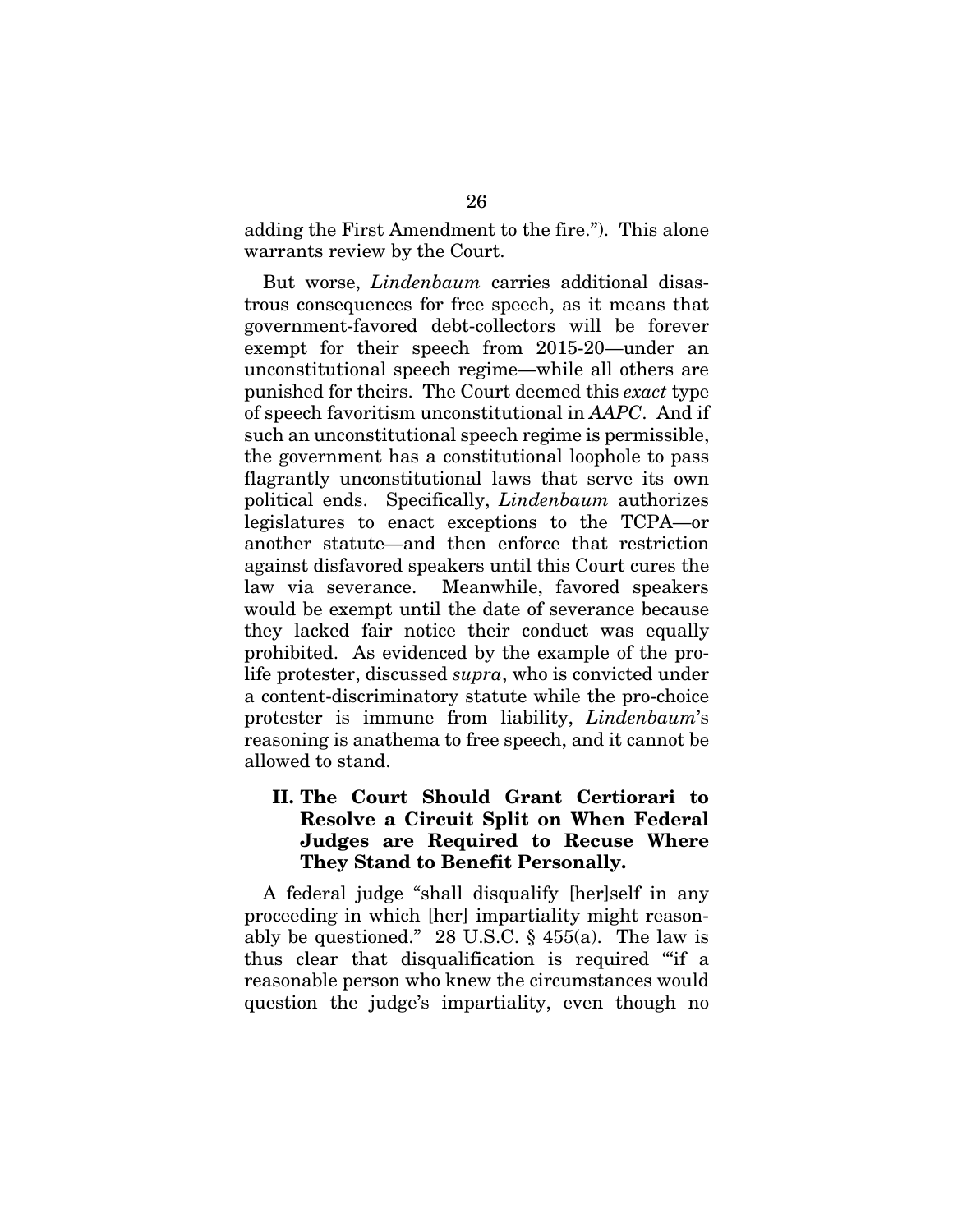adding the First Amendment to the fire."). This alone warrants review by the Court.

But worse, *Lindenbaum* carries additional disastrous consequences for free speech, as it means that government-favored debt-collectors will be forever exempt for their speech from 2015-20—under an unconstitutional speech regime—while all others are punished for theirs. The Court deemed this *exact* type of speech favoritism unconstitutional in *AAPC*. And if such an unconstitutional speech regime is permissible, the government has a constitutional loophole to pass flagrantly unconstitutional laws that serve its own political ends. Specifically, *Lindenbaum* authorizes legislatures to enact exceptions to the TCPA—or another statute—and then enforce that restriction against disfavored speakers until this Court cures the law via severance. Meanwhile, favored speakers would be exempt until the date of severance because they lacked fair notice their conduct was equally prohibited. As evidenced by the example of the prolife protester, discussed *supra*, who is convicted under a content-discriminatory statute while the pro-choice protester is immune from liability, *Lindenbaum*'s reasoning is anathema to free speech, and it cannot be allowed to stand.

# II. The Court Should Grant Certiorari to Resolve a Circuit Split on When Federal Judges are Required to Recuse Where They Stand to Benefit Personally.

A federal judge "shall disqualify [her]self in any proceeding in which [her] impartiality might reasonably be questioned." 28 U.S.C.  $\S$  455(a). The law is thus clear that disqualification is required "'if a reasonable person who knew the circumstances would question the judge's impartiality, even though no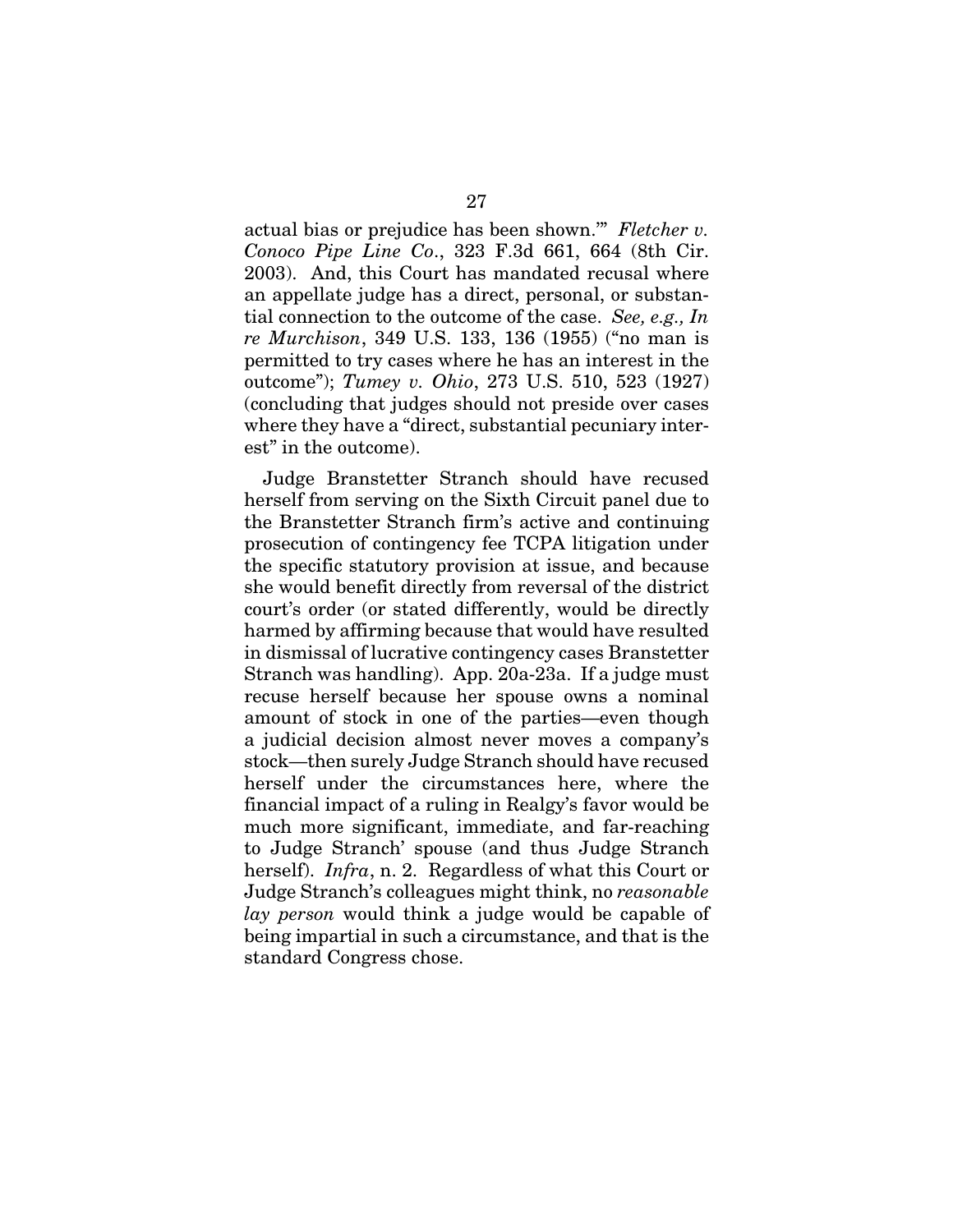actual bias or prejudice has been shown.'" *Fletcher v. Conoco Pipe Line Co*., 323 F.3d 661, 664 (8th Cir. 2003). And, this Court has mandated recusal where an appellate judge has a direct, personal, or substantial connection to the outcome of the case. *See, e.g., In re Murchison*, 349 U.S. 133, 136 (1955) ("no man is permitted to try cases where he has an interest in the outcome"); *Tumey v. Ohio*, 273 U.S. 510, 523 (1927) (concluding that judges should not preside over cases where they have a "direct, substantial pecuniary interest" in the outcome).

Judge Branstetter Stranch should have recused herself from serving on the Sixth Circuit panel due to the Branstetter Stranch firm's active and continuing prosecution of contingency fee TCPA litigation under the specific statutory provision at issue, and because she would benefit directly from reversal of the district court's order (or stated differently, would be directly harmed by affirming because that would have resulted in dismissal of lucrative contingency cases Branstetter Stranch was handling). App. 20a-23a. If a judge must recuse herself because her spouse owns a nominal amount of stock in one of the parties—even though a judicial decision almost never moves a company's stock—then surely Judge Stranch should have recused herself under the circumstances here, where the financial impact of a ruling in Realgy's favor would be much more significant, immediate, and far-reaching to Judge Stranch' spouse (and thus Judge Stranch herself). *Infra*, n. 2. Regardless of what this Court or Judge Stranch's colleagues might think, no *reasonable lay person* would think a judge would be capable of being impartial in such a circumstance, and that is the standard Congress chose.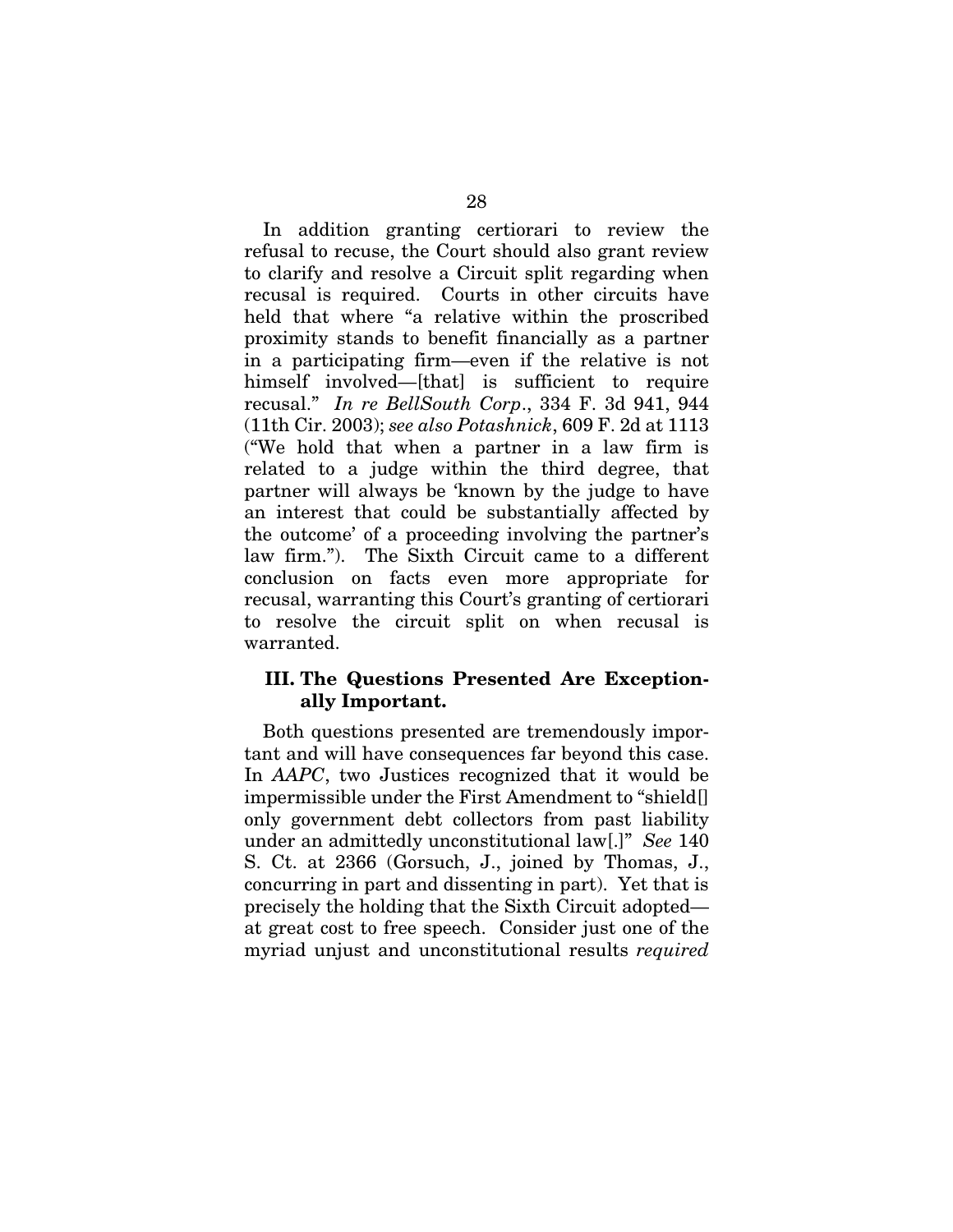In addition granting certiorari to review the refusal to recuse, the Court should also grant review to clarify and resolve a Circuit split regarding when recusal is required. Courts in other circuits have held that where "a relative within the proscribed proximity stands to benefit financially as a partner in a participating firm—even if the relative is not himself involved—[that] is sufficient to require recusal." *In re BellSouth Corp*., 334 F. 3d 941, 944 (11th Cir. 2003); *see also Potashnick*, 609 F. 2d at 1113 ("We hold that when a partner in a law firm is related to a judge within the third degree, that partner will always be 'known by the judge to have an interest that could be substantially affected by the outcome' of a proceeding involving the partner's law firm."). The Sixth Circuit came to a different conclusion on facts even more appropriate for recusal, warranting this Court's granting of certiorari to resolve the circuit split on when recusal is warranted.

## III. The Questions Presented Are Exceptionally Important.

Both questions presented are tremendously important and will have consequences far beyond this case. In *AAPC*, two Justices recognized that it would be impermissible under the First Amendment to "shield[] only government debt collectors from past liability under an admittedly unconstitutional law[.]" *See* 140 S. Ct. at 2366 (Gorsuch, J., joined by Thomas, J., concurring in part and dissenting in part). Yet that is precisely the holding that the Sixth Circuit adopted at great cost to free speech. Consider just one of the myriad unjust and unconstitutional results *required*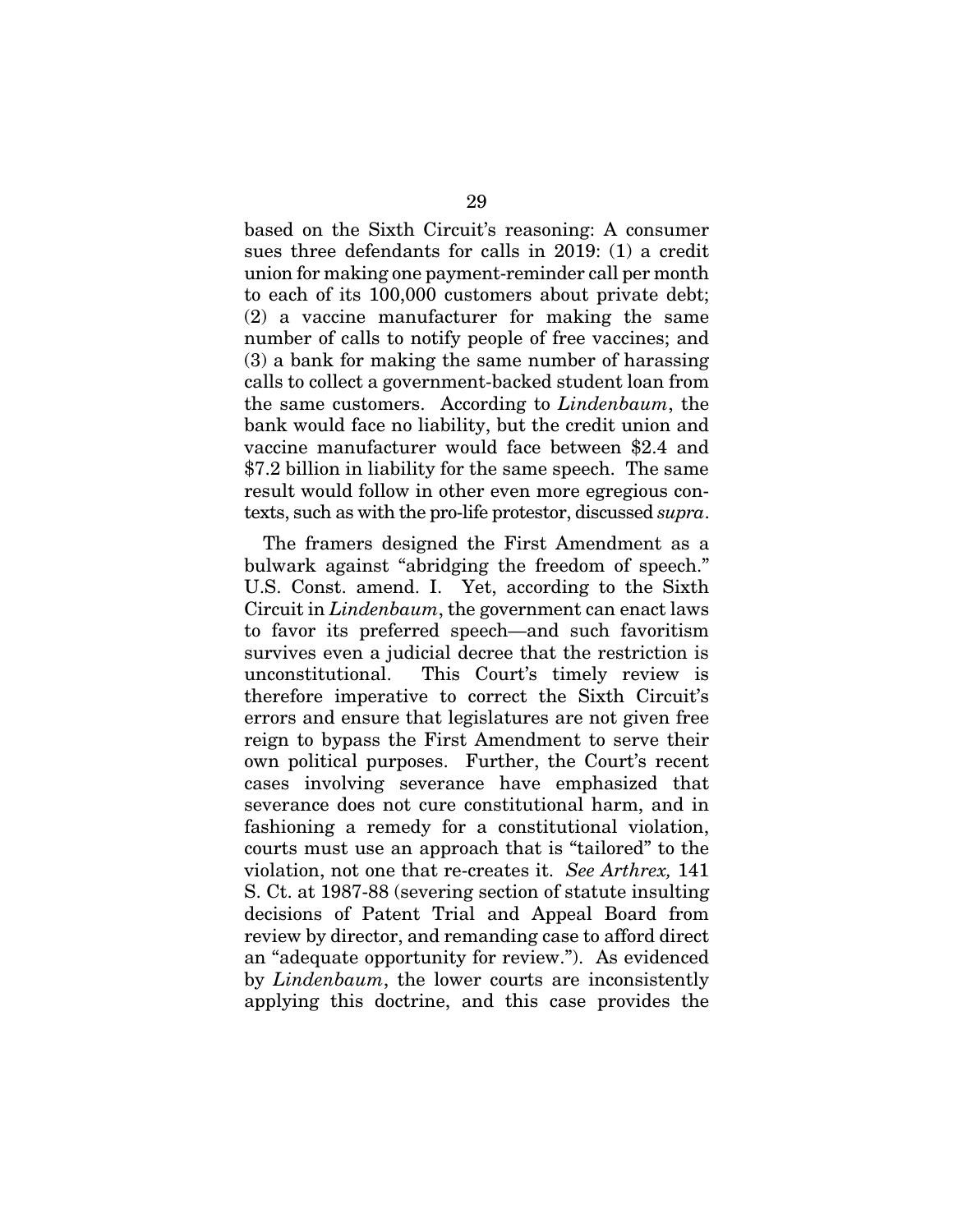based on the Sixth Circuit's reasoning: A consumer sues three defendants for calls in 2019: (1) a credit union for making one payment-reminder call per month to each of its 100,000 customers about private debt; (2) a vaccine manufacturer for making the same number of calls to notify people of free vaccines; and (3) a bank for making the same number of harassing calls to collect a government-backed student loan from the same customers. According to *Lindenbaum*, the bank would face no liability, but the credit union and vaccine manufacturer would face between \$2.4 and \$7.2 billion in liability for the same speech. The same result would follow in other even more egregious contexts, such as with the pro-life protestor, discussed *supra*.

The framers designed the First Amendment as a bulwark against "abridging the freedom of speech." U.S. Const. amend. I. Yet, according to the Sixth Circuit in *Lindenbaum*, the government can enact laws to favor its preferred speech—and such favoritism survives even a judicial decree that the restriction is unconstitutional. This Court's timely review is therefore imperative to correct the Sixth Circuit's errors and ensure that legislatures are not given free reign to bypass the First Amendment to serve their own political purposes. Further, the Court's recent cases involving severance have emphasized that severance does not cure constitutional harm, and in fashioning a remedy for a constitutional violation, courts must use an approach that is "tailored" to the violation, not one that re-creates it. *See Arthrex,* 141 S. Ct. at 1987-88 (severing section of statute insulting decisions of Patent Trial and Appeal Board from review by director, and remanding case to afford direct an "adequate opportunity for review."). As evidenced by *Lindenbaum*, the lower courts are inconsistently applying this doctrine, and this case provides the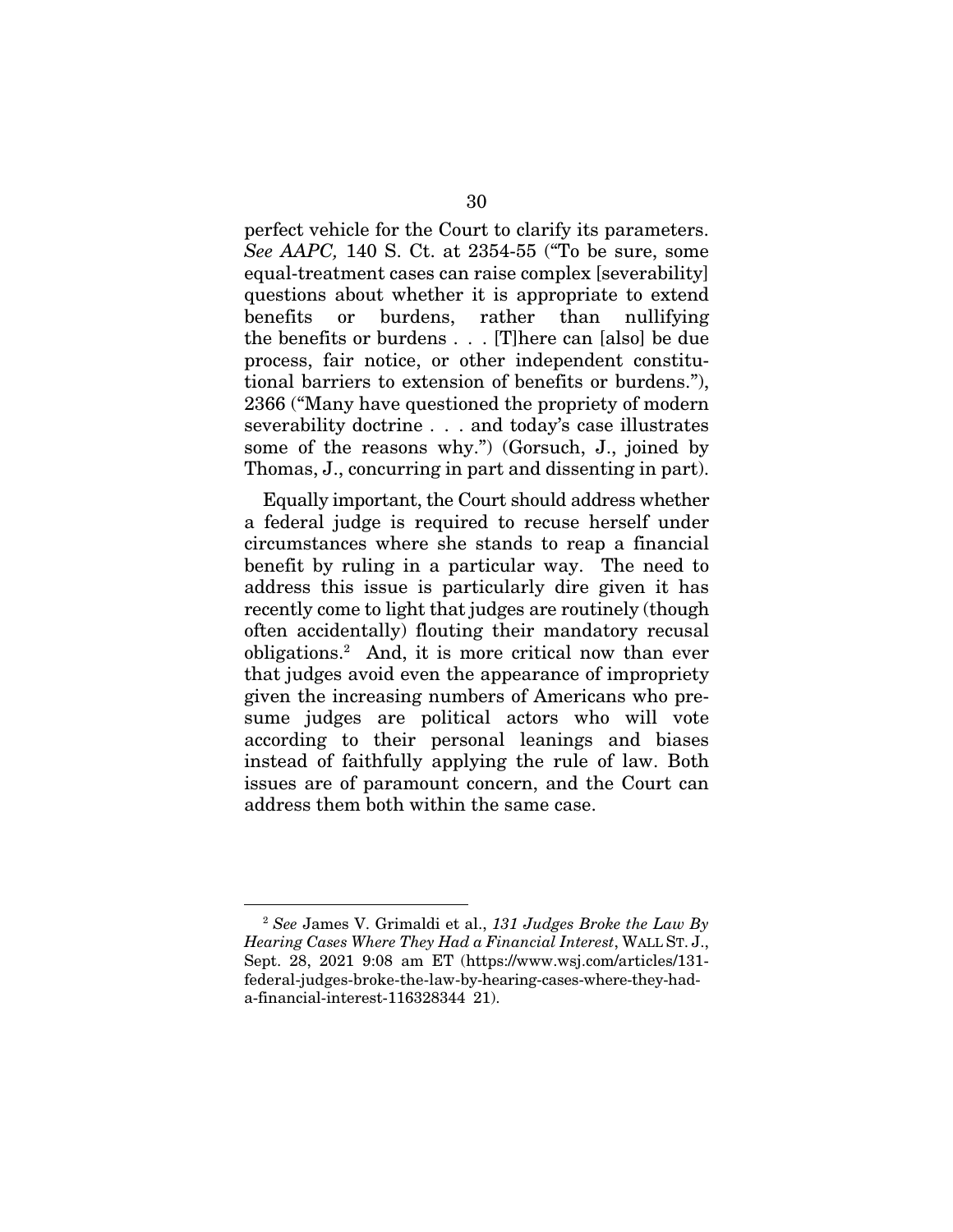perfect vehicle for the Court to clarify its parameters. *See AAPC,* 140 S. Ct. at 2354-55 ("To be sure, some equal-treatment cases can raise complex [severability] questions about whether it is appropriate to extend benefits or burdens, rather than nullifying the benefits or burdens . . . [T]here can [also] be due process, fair notice, or other independent constitutional barriers to extension of benefits or burdens."), 2366 ("Many have questioned the propriety of modern severability doctrine . . . and today's case illustrates some of the reasons why.") (Gorsuch, J., joined by Thomas, J., concurring in part and dissenting in part).

Equally important, the Court should address whether a federal judge is required to recuse herself under circumstances where she stands to reap a financial benefit by ruling in a particular way. The need to address this issue is particularly dire given it has recently come to light that judges are routinely (though often accidentally) flouting their mandatory recusal obligations.2 And, it is more critical now than ever that judges avoid even the appearance of impropriety given the increasing numbers of Americans who presume judges are political actors who will vote according to their personal leanings and biases instead of faithfully applying the rule of law. Both issues are of paramount concern, and the Court can address them both within the same case.

<sup>2</sup> *See* James V. Grimaldi et al., *131 Judges Broke the Law By Hearing Cases Where They Had a Financial Interest*, WALL ST. J., Sept. 28, 2021 9:08 am ET (https://www.wsj.com/articles/131 federal-judges-broke-the-law-by-hearing-cases-where-they-hada-financial-interest-116328344 21).